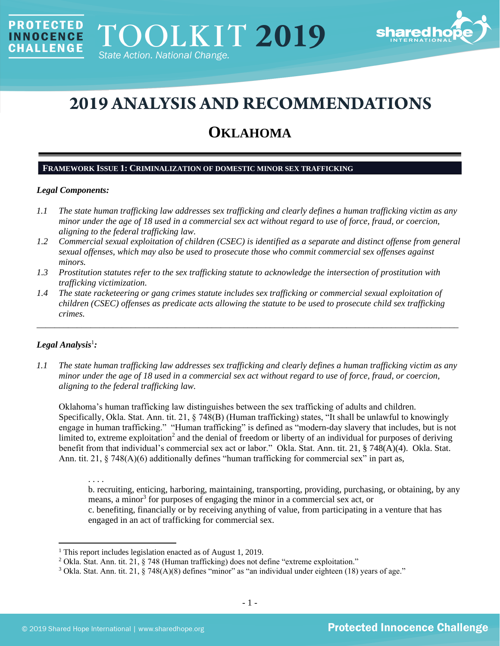

# **2019 ANALYSIS AND RECOMMENDATIONS**

## **OKLAHOMA**

#### **FRAMEWORK ISSUE 1: CRIMINALIZATION OF DOMESTIC MINOR SEX TRAFFICKING**

#### *Legal Components:*

**PROTECTED** 

**INNOCENCE CHALLENGE** 

- *1.1 The state human trafficking law addresses sex trafficking and clearly defines a human trafficking victim as any minor under the age of 18 used in a commercial sex act without regard to use of force, fraud, or coercion, aligning to the federal trafficking law.*
- *1.2 Commercial sexual exploitation of children (CSEC) is identified as a separate and distinct offense from general sexual offenses, which may also be used to prosecute those who commit commercial sex offenses against minors.*
- *1.3 Prostitution statutes refer to the sex trafficking statute to acknowledge the intersection of prostitution with trafficking victimization.*
- *1.4 The state racketeering or gang crimes statute includes sex trafficking or commercial sexual exploitation of children (CSEC) offenses as predicate acts allowing the statute to be used to prosecute child sex trafficking crimes.*

\_\_\_\_\_\_\_\_\_\_\_\_\_\_\_\_\_\_\_\_\_\_\_\_\_\_\_\_\_\_\_\_\_\_\_\_\_\_\_\_\_\_\_\_\_\_\_\_\_\_\_\_\_\_\_\_\_\_\_\_\_\_\_\_\_\_\_\_\_\_\_\_\_\_\_\_\_\_\_\_\_\_\_\_\_\_\_\_\_\_\_\_\_\_

## $Legal$  Analysis<sup>1</sup>:

*1.1 The state human trafficking law addresses sex trafficking and clearly defines a human trafficking victim as any minor under the age of 18 used in a commercial sex act without regard to use of force, fraud, or coercion, aligning to the federal trafficking law.*

Oklahoma's human trafficking law distinguishes between the sex trafficking of adults and children. Specifically, Okla. Stat. Ann. tit. 21, § 748(B) (Human trafficking) states, "It shall be unlawful to knowingly engage in human trafficking." "Human trafficking" is defined as "modern-day slavery that includes, but is not limited to, extreme exploitation<sup>2</sup> and the denial of freedom or liberty of an individual for purposes of deriving benefit from that individual's commercial sex act or labor." Okla. Stat. Ann. tit. 21, § 748(A)(4). Okla. Stat. Ann. tit.  $21, \, \xi$  748(A)(6) additionally defines "human trafficking for commercial sex" in part as,

. . . . b. recruiting, enticing, harboring, maintaining, transporting, providing, purchasing, or obtaining, by any means, a minor<sup>3</sup> for purposes of engaging the minor in a commercial sex act, or c. benefiting, financially or by receiving anything of value, from participating in a venture that has engaged in an act of trafficking for commercial sex.

<sup>&</sup>lt;sup>1</sup> This report includes legislation enacted as of August 1, 2019.

<sup>2</sup> Okla. Stat. Ann. tit. 21, § 748 (Human trafficking) does not define "extreme exploitation."

<sup>&</sup>lt;sup>3</sup> Okla. Stat. Ann. tit. 21, § 748(A)(8) defines "minor" as "an individual under eighteen (18) years of age."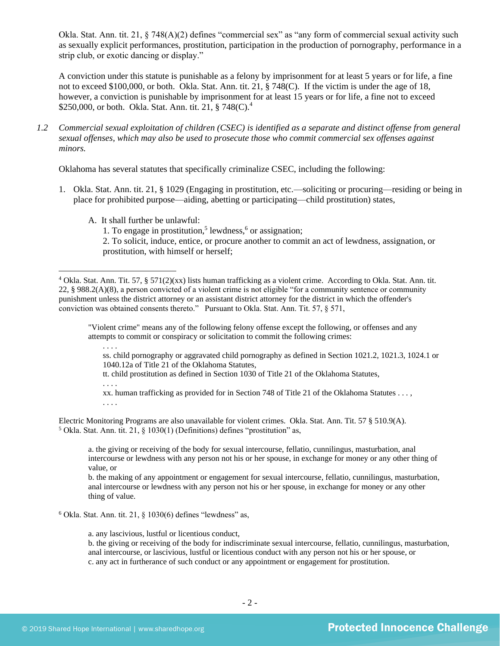Okla. Stat. Ann. tit. 21, § 748(A)(2) defines "commercial sex" as "any form of commercial sexual activity such as sexually explicit performances, prostitution, participation in the production of pornography, performance in a strip club, or exotic dancing or display."

A conviction under this statute is punishable as a felony by imprisonment for at least 5 years or for life, a fine not to exceed \$100,000, or both. Okla. Stat. Ann. tit. 21, § 748(C). If the victim is under the age of 18, however, a conviction is punishable by imprisonment for at least 15 years or for life, a fine not to exceed \$250,000, or both. Okla. Stat. Ann. tit. 21,  $\S 748(C)^4$ .

*1.2 Commercial sexual exploitation of children (CSEC) is identified as a separate and distinct offense from general sexual offenses, which may also be used to prosecute those who commit commercial sex offenses against minors.*

Oklahoma has several statutes that specifically criminalize CSEC, including the following:

- 1. Okla. Stat. Ann. tit. 21, § 1029 (Engaging in prostitution, etc.—soliciting or procuring—residing or being in place for prohibited purpose—aiding, abetting or participating—child prostitution) states,
	- A. It shall further be unlawful:

<span id="page-1-0"></span>1. To engage in prostitution,<sup>5</sup> lewdness, $6$  or assignation;

"Violent crime" means any of the following felony offense except the following, or offenses and any attempts to commit or conspiracy or solicitation to commit the following crimes:

ss. child pornography or aggravated child pornography as defined in Section 1021.2, 1021.3, 1024.1 or 1040.12a of Title 21 of the Oklahoma Statutes,

tt. child prostitution as defined in Section 1030 of Title 21 of the Oklahoma Statutes,

. . . .

. . . .

xx. human trafficking as provided for in Section 748 of Title 21 of the Oklahoma Statutes . . . , . . . .

Electric Monitoring Programs are also unavailable for violent crimes. Okla. Stat. Ann. Tit. 57 § 510.9(A). <sup>5</sup> Okla. Stat. Ann. tit. 21, § 1030(1) (Definitions) defines "prostitution" as,

a. the giving or receiving of the body for sexual intercourse, fellatio, cunnilingus, masturbation, anal intercourse or lewdness with any person not his or her spouse, in exchange for money or any other thing of value, or

b. the making of any appointment or engagement for sexual intercourse, fellatio, cunnilingus, masturbation, anal intercourse or lewdness with any person not his or her spouse, in exchange for money or any other thing of value.

 $6$  Okla. Stat. Ann. tit. 21,  $§$  1030(6) defines "lewdness" as,

a. any lascivious, lustful or licentious conduct,

b. the giving or receiving of the body for indiscriminate sexual intercourse, fellatio, cunnilingus, masturbation, anal intercourse, or lascivious, lustful or licentious conduct with any person not his or her spouse, or c. any act in furtherance of such conduct or any appointment or engagement for prostitution.

<sup>2.</sup> To solicit, induce, entice, or procure another to commit an act of lewdness, assignation, or prostitution, with himself or herself;

<sup>4</sup> Okla. Stat. Ann. Tit. 57, § 571(2)(xx) lists human trafficking as a violent crime. According to Okla. Stat. Ann. tit. 22, § 988.2(A)(8), a person convicted of a violent crime is not eligible "for a community sentence or community punishment unless the district attorney or an assistant district attorney for the district in which the offender's conviction was obtained consents thereto." Pursuant to Okla. Stat. Ann. Tit. 57, § 571,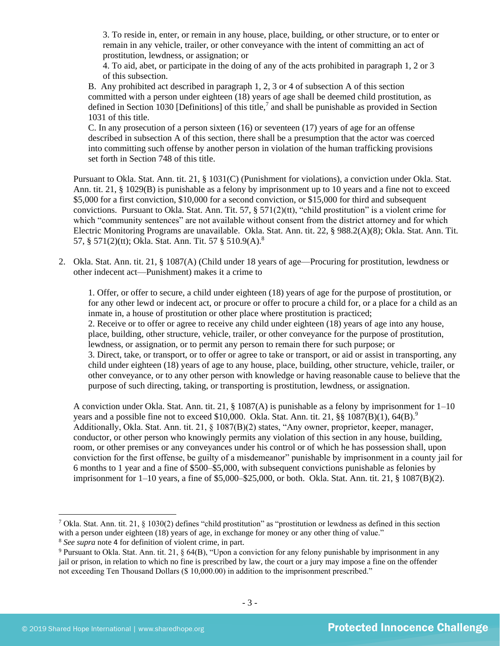3. To reside in, enter, or remain in any house, place, building, or other structure, or to enter or remain in any vehicle, trailer, or other conveyance with the intent of committing an act of prostitution, lewdness, or assignation; or

<span id="page-2-0"></span>4. To aid, abet, or participate in the doing of any of the acts prohibited in paragraph 1, 2 or 3 of this subsection.

B. Any prohibited act described in paragraph 1, 2, 3 or 4 of subsection A of this section committed with a person under eighteen (18) years of age shall be deemed child prostitution, as defined in Section 1030 [Definitions] of this title,<sup>7</sup> and shall be punishable as provided in Section 1031 of this title.

C. In any prosecution of a person sixteen (16) or seventeen (17) years of age for an offense described in subsection A of this section, there shall be a presumption that the actor was coerced into committing such offense by another person in violation of the human trafficking provisions set forth in Section 748 of this title.

Pursuant to Okla. Stat. Ann. tit. 21, § 1031(C) (Punishment for violations), a conviction under Okla. Stat. Ann. tit. 21, § 1029(B) is punishable as a felony by imprisonment up to 10 years and a fine not to exceed \$5,000 for a first conviction, \$10,000 for a second conviction, or \$15,000 for third and subsequent convictions. Pursuant to Okla. Stat. Ann. Tit. 57,  $\S 571(2)(tt)$ , "child prostitution" is a violent crime for which "community sentences" are not available without consent from the district attorney and for which Electric Monitoring Programs are unavailable. Okla. Stat. Ann. tit. 22, § 988.2(A)(8); Okla. Stat. Ann. Tit. 57, § 571(2)(tt); Okla. Stat. Ann. Tit. 57 § 510.9(A).<sup>8</sup>

2. Okla. Stat. Ann. tit. 21, § 1087(A) (Child under 18 years of age—Procuring for prostitution, lewdness or other indecent act—Punishment) makes it a crime to

1. Offer, or offer to secure, a child under eighteen (18) years of age for the purpose of prostitution, or for any other lewd or indecent act, or procure or offer to procure a child for, or a place for a child as an inmate in, a house of prostitution or other place where prostitution is practiced; 2. Receive or to offer or agree to receive any child under eighteen (18) years of age into any house, place, building, other structure, vehicle, trailer, or other conveyance for the purpose of prostitution, lewdness, or assignation, or to permit any person to remain there for such purpose; or 3. Direct, take, or transport, or to offer or agree to take or transport, or aid or assist in transporting, any child under eighteen (18) years of age to any house, place, building, other structure, vehicle, trailer, or other conveyance, or to any other person with knowledge or having reasonable cause to believe that the purpose of such directing, taking, or transporting is prostitution, lewdness, or assignation.

A conviction under Okla. Stat. Ann. tit. 21, § 1087(A) is punishable as a felony by imprisonment for  $1-10$ years and a possible fine not to exceed \$10,000. Okla. Stat. Ann. tit. 21,  $\S$ § 1087(B)(1), 64(B).<sup>9</sup> Additionally, Okla. Stat. Ann. tit. 21, § 1087(B)(2) states, "Any owner, proprietor, keeper, manager, conductor, or other person who knowingly permits any violation of this section in any house, building, room, or other premises or any conveyances under his control or of which he has possession shall, upon conviction for the first offense, be guilty of a misdemeanor" punishable by imprisonment in a county jail for 6 months to 1 year and a fine of \$500–\$5,000, with subsequent convictions punishable as felonies by imprisonment for  $1-10$  years, a fine of \$5,000–\$25,000, or both. Okla. Stat. Ann. tit. 21, § 1087(B)(2).

<sup>&</sup>lt;sup>7</sup> Okla. Stat. Ann. tit. 21, § 1030(2) defines "child prostitution" as "prostitution or lewdness as defined in this section with a person under eighteen (18) years of age, in exchange for money or any other thing of value."

<sup>8</sup> *See supra* note [4](#page-1-0) for definition of violent crime, in part.

<sup>&</sup>lt;sup>9</sup> Pursuant to Okla. Stat. Ann. tit. 21, § 64(B), "Upon a conviction for any felony punishable by imprisonment in any jail or prison, in relation to which no fine is prescribed by law, the court or a jury may impose a fine on the offender not exceeding Ten Thousand Dollars (\$ 10,000.00) in addition to the imprisonment prescribed."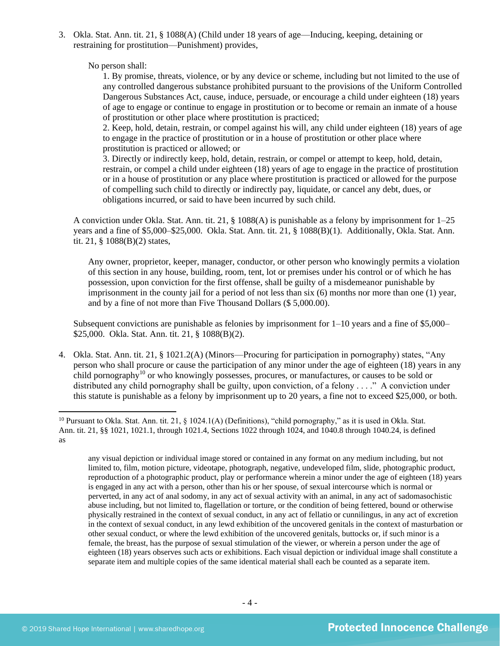3. Okla. Stat. Ann. tit. 21, § 1088(A) (Child under 18 years of age—Inducing, keeping, detaining or restraining for prostitution—Punishment) provides,

No person shall:

1. By promise, threats, violence, or by any device or scheme, including but not limited to the use of any controlled dangerous substance prohibited pursuant to the provisions of the Uniform Controlled Dangerous Substances Act, cause, induce, persuade, or encourage a child under eighteen (18) years of age to engage or continue to engage in prostitution or to become or remain an inmate of a house of prostitution or other place where prostitution is practiced;

2. Keep, hold, detain, restrain, or compel against his will, any child under eighteen (18) years of age to engage in the practice of prostitution or in a house of prostitution or other place where prostitution is practiced or allowed; or

3. Directly or indirectly keep, hold, detain, restrain, or compel or attempt to keep, hold, detain, restrain, or compel a child under eighteen (18) years of age to engage in the practice of prostitution or in a house of prostitution or any place where prostitution is practiced or allowed for the purpose of compelling such child to directly or indirectly pay, liquidate, or cancel any debt, dues, or obligations incurred, or said to have been incurred by such child.

A conviction under Okla. Stat. Ann. tit. 21, § 1088(A) is punishable as a felony by imprisonment for 1–25 years and a fine of \$5,000–\$25,000. Okla. Stat. Ann. tit. 21, § 1088(B)(1). Additionally, Okla. Stat. Ann. tit. 21, § 1088(B)(2) states,

Any owner, proprietor, keeper, manager, conductor, or other person who knowingly permits a violation of this section in any house, building, room, tent, lot or premises under his control or of which he has possession, upon conviction for the first offense, shall be guilty of a misdemeanor punishable by imprisonment in the county jail for a period of not less than six (6) months nor more than one (1) year, and by a fine of not more than Five Thousand Dollars (\$ 5,000.00).

<span id="page-3-0"></span>Subsequent convictions are punishable as felonies by imprisonment for  $1-10$  years and a fine of \$5,000– \$25,000. Okla. Stat. Ann. tit. 21, § 1088(B)(2).

4. Okla. Stat. Ann. tit. 21, § 1021.2(A) (Minors—Procuring for participation in pornography) states, "Any person who shall procure or cause the participation of any minor under the age of eighteen (18) years in any child pornography<sup>10</sup> or who knowingly possesses, procures, or manufactures, or causes to be sold or distributed any child pornography shall be guilty, upon conviction, of a felony . . . ." A conviction under this statute is punishable as a felony by imprisonment up to 20 years, a fine not to exceed \$25,000, or both.

any visual depiction or individual image stored or contained in any format on any medium including, but not limited to, film, motion picture, videotape, photograph, negative, undeveloped film, slide, photographic product, reproduction of a photographic product, play or performance wherein a minor under the age of eighteen (18) years is engaged in any act with a person, other than his or her spouse, of sexual intercourse which is normal or perverted, in any act of anal sodomy, in any act of sexual activity with an animal, in any act of sadomasochistic abuse including, but not limited to, flagellation or torture, or the condition of being fettered, bound or otherwise physically restrained in the context of sexual conduct, in any act of fellatio or cunnilingus, in any act of excretion in the context of sexual conduct, in any lewd exhibition of the uncovered genitals in the context of masturbation or other sexual conduct, or where the lewd exhibition of the uncovered genitals, buttocks or, if such minor is a female, the breast, has the purpose of sexual stimulation of the viewer, or wherein a person under the age of eighteen (18) years observes such acts or exhibitions. Each visual depiction or individual image shall constitute a separate item and multiple copies of the same identical material shall each be counted as a separate item.

<sup>&</sup>lt;sup>10</sup> Pursuant to Okla. Stat. Ann. tit. 21, § 1024.1(A) (Definitions), "child pornography," as it is used in Okla. Stat. Ann. tit. 21, §§ 1021, 1021.1, through 1021.4, Sections 1022 through 1024, and 1040.8 through 1040.24, is defined as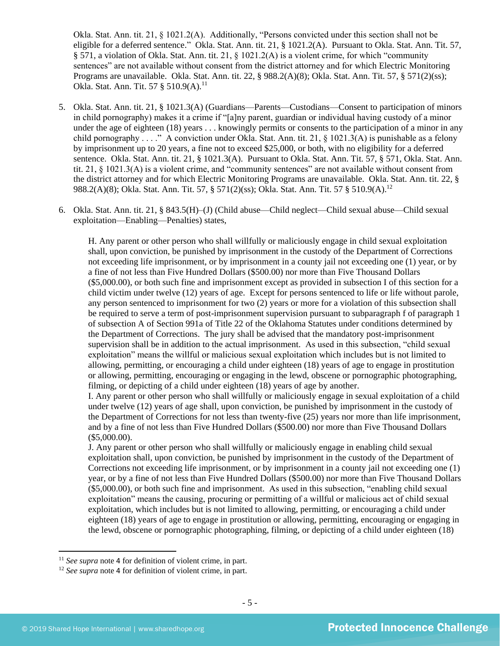Okla. Stat. Ann. tit. 21, § 1021.2(A). Additionally, "Persons convicted under this section shall not be eligible for a deferred sentence." Okla. Stat. Ann. tit. 21, § 1021.2(A). Pursuant to Okla. Stat. Ann. Tit. 57, § 571, a violation of Okla. Stat. Ann. tit. 21, § 1021.2(A) is a violent crime, for which "community sentences" are not available without consent from the district attorney and for which Electric Monitoring Programs are unavailable. Okla. Stat. Ann. tit. 22, § 988.2(A)(8); Okla. Stat. Ann. Tit. 57, § 571(2)(ss); Okla. Stat. Ann. Tit. 57 § 510.9(A).<sup>11</sup>

- 5. Okla. Stat. Ann. tit. 21, § 1021.3(A) (Guardians—Parents—Custodians—Consent to participation of minors in child pornography) makes it a crime if "[a]ny parent, guardian or individual having custody of a minor under the age of eighteen (18) years . . . knowingly permits or consents to the participation of a minor in any child pornography . . . ." A conviction under Okla. Stat. Ann. tit. 21, § 1021.3(A) is punishable as a felony by imprisonment up to 20 years, a fine not to exceed \$25,000, or both, with no eligibility for a deferred sentence. Okla. Stat. Ann. tit. 21, § 1021.3(A). Pursuant to Okla. Stat. Ann. Tit. 57, § 571, Okla. Stat. Ann. tit. 21, § 1021.3(A) is a violent crime, and "community sentences" are not available without consent from the district attorney and for which Electric Monitoring Programs are unavailable. Okla. Stat. Ann. tit. 22, § 988.2(A)(8); Okla. Stat. Ann. Tit. 57, § 571(2)(ss); Okla. Stat. Ann. Tit. 57 § 510.9(A).<sup>12</sup>
- 6. Okla. Stat. Ann. tit. 21, § 843.5(H)–(J) (Child abuse—Child neglect—Child sexual abuse—Child sexual exploitation—Enabling—Penalties) states,

H. Any parent or other person who shall willfully or maliciously engage in child sexual exploitation shall, upon conviction, be punished by imprisonment in the custody of the Department of Corrections not exceeding life imprisonment, or by imprisonment in a county jail not exceeding one (1) year, or by a fine of not less than Five Hundred Dollars (\$500.00) nor more than Five Thousand Dollars (\$5,000.00), or both such fine and imprisonment except as provided in subsection I of this section for a child victim under twelve (12) years of age. Except for persons sentenced to life or life without parole, any person sentenced to imprisonment for two (2) years or more for a violation of this subsection shall be required to serve a term of post-imprisonment supervision pursuant to subparagraph f of paragraph 1 of subsection A of Section 991a of Title 22 of the Oklahoma Statutes under conditions determined by the Department of Corrections. The jury shall be advised that the mandatory post-imprisonment supervision shall be in addition to the actual imprisonment. As used in this subsection, "child sexual exploitation" means the willful or malicious sexual exploitation which includes but is not limited to allowing, permitting, or encouraging a child under eighteen (18) years of age to engage in prostitution or allowing, permitting, encouraging or engaging in the lewd, obscene or pornographic photographing, filming, or depicting of a child under eighteen (18) years of age by another.

I. Any parent or other person who shall willfully or maliciously engage in sexual exploitation of a child under twelve (12) years of age shall, upon conviction, be punished by imprisonment in the custody of the Department of Corrections for not less than twenty-five (25) years nor more than life imprisonment, and by a fine of not less than Five Hundred Dollars (\$500.00) nor more than Five Thousand Dollars (\$5,000.00).

J. Any parent or other person who shall willfully or maliciously engage in enabling child sexual exploitation shall, upon conviction, be punished by imprisonment in the custody of the Department of Corrections not exceeding life imprisonment, or by imprisonment in a county jail not exceeding one (1) year, or by a fine of not less than Five Hundred Dollars (\$500.00) nor more than Five Thousand Dollars (\$5,000.00), or both such fine and imprisonment. As used in this subsection, "enabling child sexual exploitation" means the causing, procuring or permitting of a willful or malicious act of child sexual exploitation, which includes but is not limited to allowing, permitting, or encouraging a child under eighteen (18) years of age to engage in prostitution or allowing, permitting, encouraging or engaging in the lewd, obscene or pornographic photographing, filming, or depicting of a child under eighteen (18)

<sup>&</sup>lt;sup>11</sup> *See supra* note [4](#page-1-0) for definition of violent crime, in part.

<sup>&</sup>lt;sup>12</sup> *See supra* note [4](#page-1-0) for definition of violent crime, in part.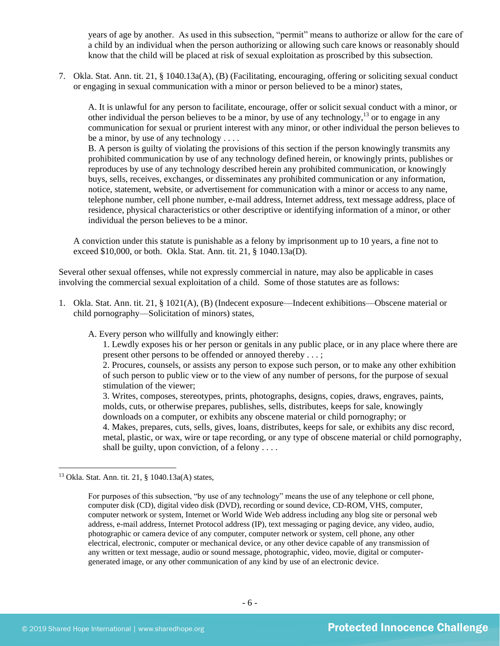years of age by another. As used in this subsection, "permit" means to authorize or allow for the care of a child by an individual when the person authorizing or allowing such care knows or reasonably should know that the child will be placed at risk of sexual exploitation as proscribed by this subsection.

7. Okla. Stat. Ann. tit. 21, § 1040.13a(A), (B) (Facilitating, encouraging, offering or soliciting sexual conduct or engaging in sexual communication with a minor or person believed to be a minor) states,

<span id="page-5-0"></span>A. It is unlawful for any person to facilitate, encourage, offer or solicit sexual conduct with a minor, or other individual the person believes to be a minor, by use of any technology,<sup>13</sup> or to engage in any communication for sexual or prurient interest with any minor, or other individual the person believes to be a minor, by use of any technology . . . .

B. A person is guilty of violating the provisions of this section if the person knowingly transmits any prohibited communication by use of any technology defined herein, or knowingly prints, publishes or reproduces by use of any technology described herein any prohibited communication, or knowingly buys, sells, receives, exchanges, or disseminates any prohibited communication or any information, notice, statement, website, or advertisement for communication with a minor or access to any name, telephone number, cell phone number, e-mail address, Internet address, text message address, place of residence, physical characteristics or other descriptive or identifying information of a minor, or other individual the person believes to be a minor.

A conviction under this statute is punishable as a felony by imprisonment up to 10 years, a fine not to exceed \$10,000, or both. Okla. Stat. Ann. tit. 21, § 1040.13a(D).

Several other sexual offenses, while not expressly commercial in nature, may also be applicable in cases involving the commercial sexual exploitation of a child. Some of those statutes are as follows:

1. Okla. Stat. Ann. tit. 21, § 1021(A), (B) (Indecent exposure—Indecent exhibitions—Obscene material or child pornography—Solicitation of minors) states,

A. Every person who willfully and knowingly either:

1. Lewdly exposes his or her person or genitals in any public place, or in any place where there are present other persons to be offended or annoyed thereby . . . ;

2. Procures, counsels, or assists any person to expose such person, or to make any other exhibition of such person to public view or to the view of any number of persons, for the purpose of sexual stimulation of the viewer;

3. Writes, composes, stereotypes, prints, photographs, designs, copies, draws, engraves, paints, molds, cuts, or otherwise prepares, publishes, sells, distributes, keeps for sale, knowingly downloads on a computer, or exhibits any obscene material or child pornography; or 4. Makes, prepares, cuts, sells, gives, loans, distributes, keeps for sale, or exhibits any disc record, metal, plastic, or wax, wire or tape recording, or any type of obscene material or child pornography, shall be guilty, upon conviction, of a felony . . . .

<sup>13</sup> Okla. Stat. Ann. tit. 21, § 1040.13a(A) states,

For purposes of this subsection, "by use of any technology" means the use of any telephone or cell phone, computer disk (CD), digital video disk (DVD), recording or sound device, CD-ROM, VHS, computer, computer network or system, Internet or World Wide Web address including any blog site or personal web address, e-mail address, Internet Protocol address (IP), text messaging or paging device, any video, audio, photographic or camera device of any computer, computer network or system, cell phone, any other electrical, electronic, computer or mechanical device, or any other device capable of any transmission of any written or text message, audio or sound message, photographic, video, movie, digital or computergenerated image, or any other communication of any kind by use of an electronic device.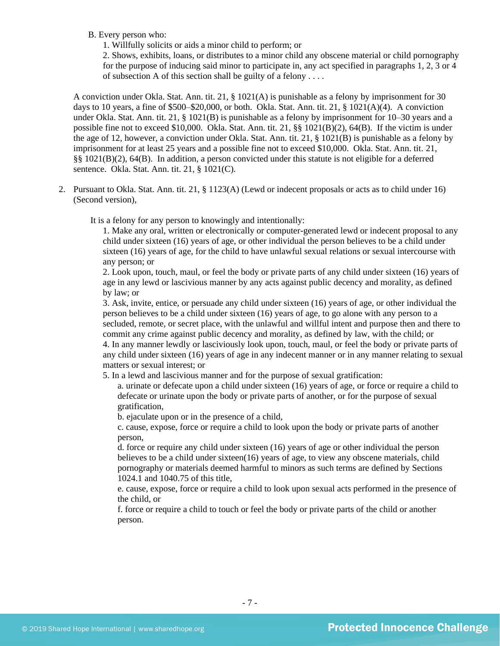#### B. Every person who:

1. Willfully solicits or aids a minor child to perform; or

2. Shows, exhibits, loans, or distributes to a minor child any obscene material or child pornography for the purpose of inducing said minor to participate in, any act specified in paragraphs 1, 2, 3 or 4 of subsection A of this section shall be guilty of a felony . . . .

A conviction under Okla. Stat. Ann. tit. 21, § 1021(A) is punishable as a felony by imprisonment for 30 days to 10 years, a fine of  $$500–$20,000$ , or both. Okla. Stat. Ann. tit. 21,  $§$  1021(A)(4). A conviction under Okla. Stat. Ann. tit. 21, § 1021(B) is punishable as a felony by imprisonment for 10–30 years and a possible fine not to exceed \$10,000. Okla. Stat. Ann. tit. 21, §§ 1021(B)(2), 64(B). If the victim is under the age of 12, however, a conviction under Okla. Stat. Ann. tit. 21, § 1021(B) is punishable as a felony by imprisonment for at least 25 years and a possible fine not to exceed \$10,000. Okla. Stat. Ann. tit. 21, §§ 1021(B)(2), 64(B). In addition, a person convicted under this statute is not eligible for a deferred sentence. Okla. Stat. Ann. tit. 21, § 1021(C).

2. Pursuant to Okla. Stat. Ann. tit. 21, § 1123(A) (Lewd or indecent proposals or acts as to child under 16) (Second version),

It is a felony for any person to knowingly and intentionally:

1. Make any oral, written or electronically or computer-generated lewd or indecent proposal to any child under sixteen (16) years of age, or other individual the person believes to be a child under sixteen (16) years of age, for the child to have unlawful sexual relations or sexual intercourse with any person; or

2. Look upon, touch, maul, or feel the body or private parts of any child under sixteen (16) years of age in any lewd or lascivious manner by any acts against public decency and morality, as defined by law; or

3. Ask, invite, entice, or persuade any child under sixteen (16) years of age, or other individual the person believes to be a child under sixteen (16) years of age, to go alone with any person to a secluded, remote, or secret place, with the unlawful and willful intent and purpose then and there to commit any crime against public decency and morality, as defined by law, with the child; or 4. In any manner lewdly or lasciviously look upon, touch, maul, or feel the body or private parts of any child under sixteen (16) years of age in any indecent manner or in any manner relating to sexual matters or sexual interest; or

5. In a lewd and lascivious manner and for the purpose of sexual gratification:

a. urinate or defecate upon a child under sixteen (16) years of age, or force or require a child to defecate or urinate upon the body or private parts of another, or for the purpose of sexual gratification,

b. ejaculate upon or in the presence of a child,

c. cause, expose, force or require a child to look upon the body or private parts of another person,

d. force or require any child under sixteen (16) years of age or other individual the person believes to be a child under sixteen(16) years of age, to view any obscene materials, child pornography or materials deemed harmful to minors as such terms are defined by Sections 1024.1 and 1040.75 of this title,

e. cause, expose, force or require a child to look upon sexual acts performed in the presence of the child, or

f. force or require a child to touch or feel the body or private parts of the child or another person.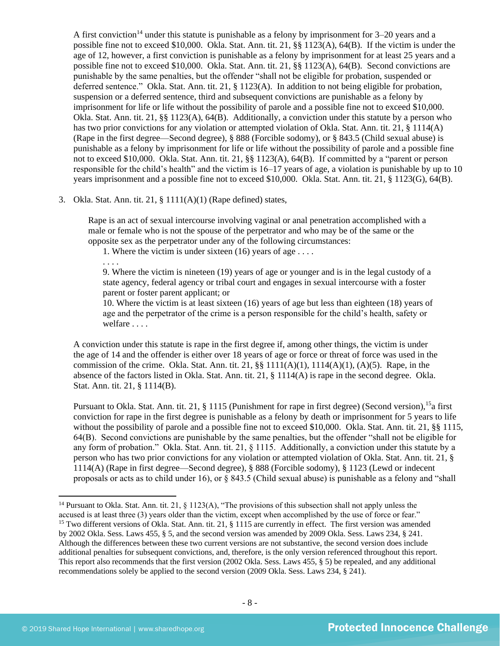<span id="page-7-0"></span>A first conviction<sup>14</sup> under this statute is punishable as a felony by imprisonment for  $3-20$  years and a possible fine not to exceed \$10,000. Okla. Stat. Ann. tit. 21, §§ 1123(A), 64(B). If the victim is under the age of 12, however, a first conviction is punishable as a felony by imprisonment for at least 25 years and a possible fine not to exceed \$10,000. Okla. Stat. Ann. tit. 21, §§ 1123(A), 64(B). Second convictions are punishable by the same penalties, but the offender "shall not be eligible for probation, suspended or deferred sentence." Okla. Stat. Ann. tit. 21, § 1123(A). In addition to not being eligible for probation, suspension or a deferred sentence, third and subsequent convictions are punishable as a felony by imprisonment for life or life without the possibility of parole and a possible fine not to exceed \$10,000. Okla. Stat. Ann. tit. 21, §§ 1123(A), 64(B). Additionally, a conviction under this statute by a person who has two prior convictions for any violation or attempted violation of Okla. Stat. Ann. tit. 21, § 1114(A) (Rape in the first degree—Second degree), § 888 (Forcible sodomy), or § 843.5 (Child sexual abuse) is punishable as a felony by imprisonment for life or life without the possibility of parole and a possible fine not to exceed \$10,000. Okla. Stat. Ann. tit. 21, §§ 1123(A), 64(B). If committed by a "parent or person responsible for the child's health" and the victim is 16–17 years of age, a violation is punishable by up to 10 years imprisonment and a possible fine not to exceed \$10,000. Okla. Stat. Ann. tit. 21, § 1123(G), 64(B).

#### 3. Okla. Stat. Ann. tit. 21, § 1111(A)(1) (Rape defined) states,

Rape is an act of sexual intercourse involving vaginal or anal penetration accomplished with a male or female who is not the spouse of the perpetrator and who may be of the same or the opposite sex as the perpetrator under any of the following circumstances:

1. Where the victim is under sixteen (16) years of age . . . .

. . . .

9. Where the victim is nineteen (19) years of age or younger and is in the legal custody of a state agency, federal agency or tribal court and engages in sexual intercourse with a foster parent or foster parent applicant; or

10. Where the victim is at least sixteen (16) years of age but less than eighteen (18) years of age and the perpetrator of the crime is a person responsible for the child's health, safety or welfare . . . .

A conviction under this statute is rape in the first degree if, among other things, the victim is under the age of 14 and the offender is either over 18 years of age or force or threat of force was used in the commission of the crime. Okla. Stat. Ann. tit. 21,  $\S$ § 1111(A)(1), 1114(A)(1), (A)(5). Rape, in the absence of the factors listed in Okla. Stat. Ann. tit. 21, § 1114(A) is rape in the second degree. Okla. Stat. Ann. tit. 21, § 1114(B).

Pursuant to Okla. Stat. Ann. tit. 21, § 1115 (Punishment for rape in first degree) (Second version), <sup>15</sup>a first conviction for rape in the first degree is punishable as a felony by death or imprisonment for 5 years to life without the possibility of parole and a possible fine not to exceed \$10,000. Okla. Stat. Ann. tit. 21, §§ 1115, 64(B). Second convictions are punishable by the same penalties, but the offender "shall not be eligible for any form of probation." Okla. Stat. Ann. tit. 21, § 1115. Additionally, a conviction under this statute by a person who has two prior convictions for any violation or attempted violation of Okla. Stat. Ann. tit. 21, § 1114(A) (Rape in first degree—Second degree), § 888 (Forcible sodomy), § 1123 (Lewd or indecent proposals or acts as to child under 16), or § 843.5 (Child sexual abuse) is punishable as a felony and "shall

<sup>&</sup>lt;sup>14</sup> Pursuant to Okla. Stat. Ann. tit. 21, § 1123(A), "The provisions of this subsection shall not apply unless the accused is at least three (3) years older than the victim, except when accomplished by the use of force or fear." <sup>15</sup> Two different versions of Okla. Stat. Ann. tit. 21, § 1115 are currently in effect. The first version was amended by 2002 Okla. Sess. Laws 455, § 5, and the second version was amended by 2009 Okla. Sess. Laws 234, § 241. Although the differences between these two current versions are not substantive, the second version does include additional penalties for subsequent convictions, and, therefore, is the only version referenced throughout this report. This report also recommends that the first version (2002 Okla. Sess. Laws 455, § 5) be repealed, and any additional recommendations solely be applied to the second version (2009 Okla. Sess. Laws 234, § 241).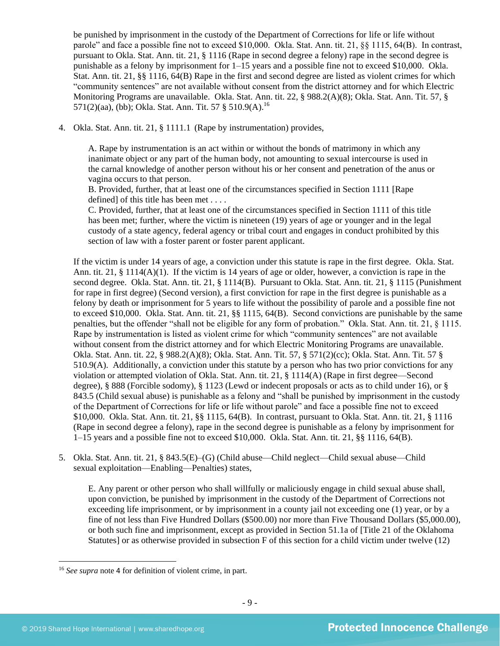be punished by imprisonment in the custody of the Department of Corrections for life or life without parole" and face a possible fine not to exceed \$10,000. Okla. Stat. Ann. tit. 21, §§ 1115, 64(B). In contrast, pursuant to Okla. Stat. Ann. tit. 21, § 1116 (Rape in second degree a felony) rape in the second degree is punishable as a felony by imprisonment for 1–15 years and a possible fine not to exceed \$10,000. Okla. Stat. Ann. tit. 21, §§ 1116, 64(B) Rape in the first and second degree are listed as violent crimes for which "community sentences" are not available without consent from the district attorney and for which Electric Monitoring Programs are unavailable. Okla. Stat. Ann. tit. 22, § 988.2(A)(8); Okla. Stat. Ann. Tit. 57, § 571(2)(aa), (bb); Okla. Stat. Ann. Tit. 57 § 510.9(A).<sup>16</sup>

4. Okla. Stat. Ann. tit. 21, § 1111.1 (Rape by instrumentation) provides,

A. Rape by instrumentation is an act within or without the bonds of matrimony in which any inanimate object or any part of the human body, not amounting to sexual intercourse is used in the carnal knowledge of another person without his or her consent and penetration of the anus or vagina occurs to that person.

B. Provided, further, that at least one of the circumstances specified in Section 1111 [Rape defined] of this title has been met . . . .

C. Provided, further, that at least one of the circumstances specified in Section 1111 of this title has been met; further, where the victim is nineteen (19) years of age or younger and in the legal custody of a state agency, federal agency or tribal court and engages in conduct prohibited by this section of law with a foster parent or foster parent applicant.

If the victim is under 14 years of age, a conviction under this statute is rape in the first degree. Okla. Stat. Ann. tit. 21, § 1114( $A$ )(1). If the victim is 14 years of age or older, however, a conviction is rape in the second degree. Okla. Stat. Ann. tit. 21, § 1114(B). Pursuant to Okla. Stat. Ann. tit. 21, § 1115 (Punishment for rape in first degree) (Second version), a first conviction for rape in the first degree is punishable as a felony by death or imprisonment for 5 years to life without the possibility of parole and a possible fine not to exceed \$10,000. Okla. Stat. Ann. tit. 21, §§ 1115, 64(B). Second convictions are punishable by the same penalties, but the offender "shall not be eligible for any form of probation." Okla. Stat. Ann. tit. 21, § 1115. Rape by instrumentation is listed as violent crime for which "community sentences" are not available without consent from the district attorney and for which Electric Monitoring Programs are unavailable. Okla. Stat. Ann. tit. 22, § 988.2(A)(8); Okla. Stat. Ann. Tit. 57, § 571(2)(cc); Okla. Stat. Ann. Tit. 57 § 510.9(A). Additionally, a conviction under this statute by a person who has two prior convictions for any violation or attempted violation of Okla. Stat. Ann. tit. 21, § 1114(A) (Rape in first degree—Second degree), § 888 (Forcible sodomy), § 1123 (Lewd or indecent proposals or acts as to child under 16), or § 843.5 (Child sexual abuse) is punishable as a felony and "shall be punished by imprisonment in the custody of the Department of Corrections for life or life without parole" and face a possible fine not to exceed \$10,000. Okla. Stat. Ann. tit. 21, §§ 1115, 64(B). In contrast, pursuant to Okla. Stat. Ann. tit. 21, § 1116 (Rape in second degree a felony), rape in the second degree is punishable as a felony by imprisonment for 1–15 years and a possible fine not to exceed \$10,000. Okla. Stat. Ann. tit. 21, §§ 1116, 64(B).

5. Okla. Stat. Ann. tit. 21, § 843.5(E)–(G) (Child abuse—Child neglect—Child sexual abuse—Child sexual exploitation—Enabling—Penalties) states,

E. Any parent or other person who shall willfully or maliciously engage in child sexual abuse shall, upon conviction, be punished by imprisonment in the custody of the Department of Corrections not exceeding life imprisonment, or by imprisonment in a county jail not exceeding one (1) year, or by a fine of not less than Five Hundred Dollars (\$500.00) nor more than Five Thousand Dollars (\$5,000.00), or both such fine and imprisonment, except as provided in Section 51.1a of [Title 21 of the Oklahoma Statutes] or as otherwise provided in subsection F of this section for a child victim under twelve (12)

<sup>16</sup> *See supra* note [4](#page-1-0) for definition of violent crime, in part.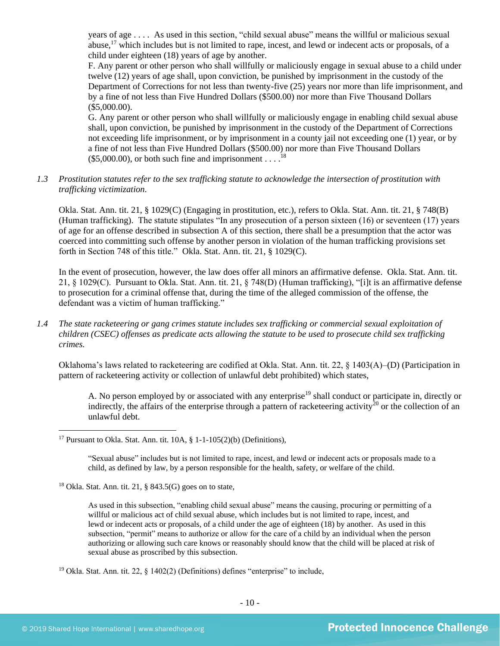years of age . . . . As used in this section, "child sexual abuse" means the willful or malicious sexual abuse,<sup>17</sup> which includes but is not limited to rape, incest, and lewd or indecent acts or proposals, of a child under eighteen (18) years of age by another.

F. Any parent or other person who shall willfully or maliciously engage in sexual abuse to a child under twelve (12) years of age shall, upon conviction, be punished by imprisonment in the custody of the Department of Corrections for not less than twenty-five (25) years nor more than life imprisonment, and by a fine of not less than Five Hundred Dollars (\$500.00) nor more than Five Thousand Dollars (\$5,000.00).

G. Any parent or other person who shall willfully or maliciously engage in enabling child sexual abuse shall, upon conviction, be punished by imprisonment in the custody of the Department of Corrections not exceeding life imprisonment, or by imprisonment in a county jail not exceeding one (1) year, or by a fine of not less than Five Hundred Dollars (\$500.00) nor more than Five Thousand Dollars  $($5,000.00)$ , or both such fine and imprisonment . . . .<sup>18</sup>

## *1.3 Prostitution statutes refer to the sex trafficking statute to acknowledge the intersection of prostitution with trafficking victimization.*

Okla. Stat. Ann. tit. 21, § 1029(C) (Engaging in prostitution, etc.), refers to Okla. Stat. Ann. tit. 21, § 748(B) (Human trafficking). The statute stipulates "In any prosecution of a person sixteen (16) or seventeen (17) years of age for an offense described in subsection A of this section, there shall be a presumption that the actor was coerced into committing such offense by another person in violation of the human trafficking provisions set forth in Section 748 of this title." Okla. Stat. Ann. tit. 21, § 1029(C).

In the event of prosecution, however, the law does offer all minors an affirmative defense. Okla. Stat. Ann. tit. 21, § 1029(C). Pursuant to Okla. Stat. Ann. tit. 21, § 748(D) (Human trafficking), "[i]t is an affirmative defense to prosecution for a criminal offense that, during the time of the alleged commission of the offense, the defendant was a victim of human trafficking."

*1.4 The state racketeering or gang crimes statute includes sex trafficking or commercial sexual exploitation of children (CSEC) offenses as predicate acts allowing the statute to be used to prosecute child sex trafficking crimes.* 

Oklahoma's laws related to racketeering are codified at Okla. Stat. Ann. tit. 22, § 1403(A)–(D) (Participation in pattern of racketeering activity or collection of unlawful debt prohibited) which states,

A. No person employed by or associated with any enterprise<sup>19</sup> shall conduct or participate in, directly or indirectly, the affairs of the enterprise through a pattern of racketeering activity<sup>20</sup> or the collection of an unlawful debt.

<sup>17</sup> Pursuant to Okla. Stat. Ann. tit.  $10A$ ,  $\frac{8}{9}$  1-1-105(2)(b) (Definitions),

"Sexual abuse" includes but is not limited to rape, incest, and lewd or indecent acts or proposals made to a child, as defined by law, by a person responsible for the health, safety, or welfare of the child.

 $18$  Okla. Stat. Ann. tit. 21, § 843.5(G) goes on to state,

As used in this subsection, "enabling child sexual abuse" means the causing, procuring or permitting of a willful or malicious act of child sexual abuse, which includes but is not limited to rape, incest, and lewd or indecent acts or proposals, of a child under the age of eighteen (18) by another. As used in this subsection, "permit" means to authorize or allow for the care of a child by an individual when the person authorizing or allowing such care knows or reasonably should know that the child will be placed at risk of sexual abuse as proscribed by this subsection.

<sup>19</sup> Okla. Stat. Ann. tit. 22,  $\S$  1402(2) (Definitions) defines "enterprise" to include,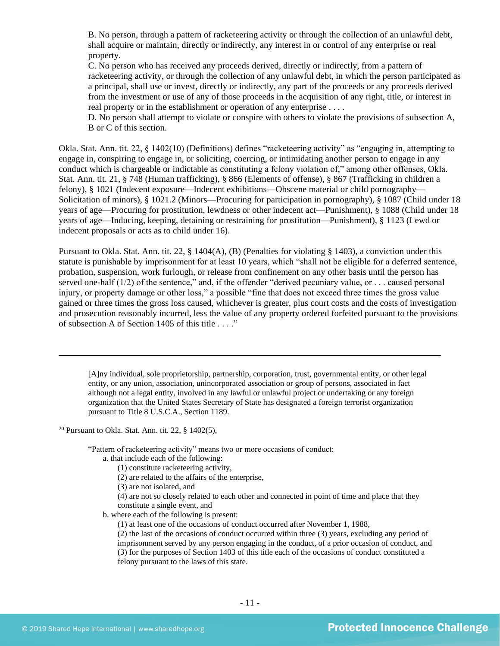B. No person, through a pattern of racketeering activity or through the collection of an unlawful debt, shall acquire or maintain, directly or indirectly, any interest in or control of any enterprise or real property.

C. No person who has received any proceeds derived, directly or indirectly, from a pattern of racketeering activity, or through the collection of any unlawful debt, in which the person participated as a principal, shall use or invest, directly or indirectly, any part of the proceeds or any proceeds derived from the investment or use of any of those proceeds in the acquisition of any right, title, or interest in real property or in the establishment or operation of any enterprise ....

D. No person shall attempt to violate or conspire with others to violate the provisions of subsection A, B or C of this section.

Okla. Stat. Ann. tit. 22, § 1402(10) (Definitions) defines "racketeering activity" as "engaging in, attempting to engage in, conspiring to engage in, or soliciting, coercing, or intimidating another person to engage in any conduct which is chargeable or indictable as constituting a felony violation of," among other offenses, Okla. Stat. Ann. tit. 21, § 748 (Human trafficking), § 866 (Elements of offense), § 867 (Trafficking in children a felony), § 1021 (Indecent exposure—Indecent exhibitions—Obscene material or child pornography— Solicitation of minors), § 1021.2 (Minors—Procuring for participation in pornography), § 1087 (Child under 18 years of age—Procuring for prostitution, lewdness or other indecent act—Punishment), § 1088 (Child under 18 years of age—Inducing, keeping, detaining or restraining for prostitution—Punishment), § 1123 (Lewd or indecent proposals or acts as to child under 16).

Pursuant to Okla. Stat. Ann. tit. 22, § 1404(A), (B) (Penalties for violating § 1403), a conviction under this statute is punishable by imprisonment for at least 10 years, which "shall not be eligible for a deferred sentence, probation, suspension, work furlough, or release from confinement on any other basis until the person has served one-half (1/2) of the sentence," and, if the offender "derived pecuniary value, or . . . caused personal injury, or property damage or other loss," a possible "fine that does not exceed three times the gross value gained or three times the gross loss caused, whichever is greater, plus court costs and the costs of investigation and prosecution reasonably incurred, less the value of any property ordered forfeited pursuant to the provisions of subsection A of Section 1405 of this title . . . ."

[A]ny individual, sole proprietorship, partnership, corporation, trust, governmental entity, or other legal entity, or any union, association, unincorporated association or group of persons, associated in fact although not a legal entity, involved in any lawful or unlawful project or undertaking or any foreign organization that the United States Secretary of State has designated a foreign terrorist organization pursuant to Title 8 U.S.C.A., Section 1189.

<sup>20</sup> Pursuant to Okla. Stat. Ann. tit. 22,  $§$  1402(5),

"Pattern of racketeering activity" means two or more occasions of conduct:

- a. that include each of the following:
	- (1) constitute racketeering activity,
	- (2) are related to the affairs of the enterprise,
	- (3) are not isolated, and

(4) are not so closely related to each other and connected in point of time and place that they constitute a single event, and

b. where each of the following is present:

(1) at least one of the occasions of conduct occurred after November 1, 1988,

(2) the last of the occasions of conduct occurred within three (3) years, excluding any period of imprisonment served by any person engaging in the conduct, of a prior occasion of conduct, and (3) for the purposes of Section 1403 of this title each of the occasions of conduct constituted a felony pursuant to the laws of this state.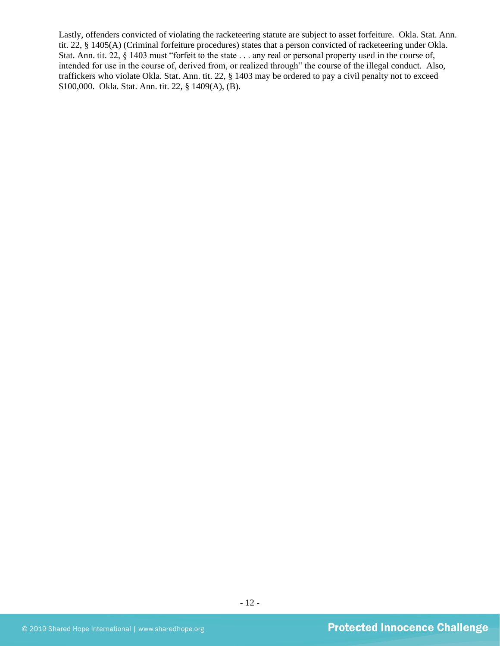Lastly, offenders convicted of violating the racketeering statute are subject to asset forfeiture. Okla. Stat. Ann. tit. 22, § 1405(A) (Criminal forfeiture procedures) states that a person convicted of racketeering under Okla. Stat. Ann. tit. 22, § 1403 must "forfeit to the state . . . any real or personal property used in the course of, intended for use in the course of, derived from, or realized through" the course of the illegal conduct. Also, traffickers who violate Okla. Stat. Ann. tit. 22, § 1403 may be ordered to pay a civil penalty not to exceed \$100,000. Okla. Stat. Ann. tit. 22, § 1409(A), (B).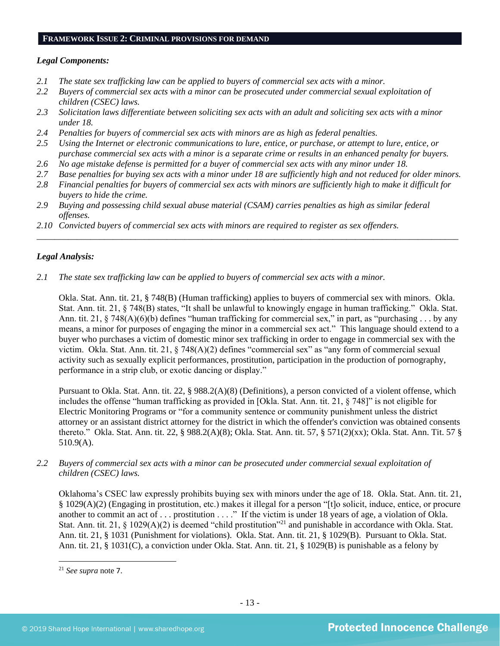#### **FRAMEWORK ISSUE 2: CRIMINAL PROVISIONS FOR DEMAND**

## *Legal Components:*

- *2.1 The state sex trafficking law can be applied to buyers of commercial sex acts with a minor.*
- *2.2 Buyers of commercial sex acts with a minor can be prosecuted under commercial sexual exploitation of children (CSEC) laws.*
- *2.3 Solicitation laws differentiate between soliciting sex acts with an adult and soliciting sex acts with a minor under 18.*
- *2.4 Penalties for buyers of commercial sex acts with minors are as high as federal penalties.*
- *2.5 Using the Internet or electronic communications to lure, entice, or purchase, or attempt to lure, entice, or purchase commercial sex acts with a minor is a separate crime or results in an enhanced penalty for buyers.*
- *2.6 No age mistake defense is permitted for a buyer of commercial sex acts with any minor under 18.*
- *2.7 Base penalties for buying sex acts with a minor under 18 are sufficiently high and not reduced for older minors.*
- *2.8 Financial penalties for buyers of commercial sex acts with minors are sufficiently high to make it difficult for buyers to hide the crime.*

\_\_\_\_\_\_\_\_\_\_\_\_\_\_\_\_\_\_\_\_\_\_\_\_\_\_\_\_\_\_\_\_\_\_\_\_\_\_\_\_\_\_\_\_\_\_\_\_\_\_\_\_\_\_\_\_\_\_\_\_\_\_\_\_\_\_\_\_\_\_\_\_\_\_\_\_\_\_\_\_\_\_\_\_\_\_\_\_\_\_\_\_\_\_

- *2.9 Buying and possessing child sexual abuse material (CSAM) carries penalties as high as similar federal offenses.*
- *2.10 Convicted buyers of commercial sex acts with minors are required to register as sex offenders.*

## *Legal Analysis:*

*2.1 The state sex trafficking law can be applied to buyers of commercial sex acts with a minor.*

Okla. Stat. Ann. tit. 21, § 748(B) (Human trafficking) applies to buyers of commercial sex with minors. Okla. Stat. Ann. tit. 21, § 748(B) states, "It shall be unlawful to knowingly engage in human trafficking." Okla. Stat. Ann. tit. 21, § 748(A)(6)(b) defines "human trafficking for commercial sex," in part, as "purchasing . . . by any means, a minor for purposes of engaging the minor in a commercial sex act." This language should extend to a buyer who purchases a victim of domestic minor sex trafficking in order to engage in commercial sex with the victim. Okla. Stat. Ann. tit. 21, § 748(A)(2) defines "commercial sex" as "any form of commercial sexual activity such as sexually explicit performances, prostitution, participation in the production of pornography, performance in a strip club, or exotic dancing or display."

Pursuant to Okla. Stat. Ann. tit. 22, § 988.2(A)(8) (Definitions), a person convicted of a violent offense, which includes the offense "human trafficking as provided in [Okla. Stat. Ann. tit. 21, § 748]" is not eligible for Electric Monitoring Programs or "for a community sentence or community punishment unless the district attorney or an assistant district attorney for the district in which the offender's conviction was obtained consents thereto." Okla. Stat. Ann. tit. 22, § 988.2(A)(8); Okla. Stat. Ann. tit. 57, § 571(2)(xx); Okla. Stat. Ann. Tit. 57 § 510.9(A).

*2.2 Buyers of commercial sex acts with a minor can be prosecuted under commercial sexual exploitation of children (CSEC) laws.*

Oklahoma's CSEC law expressly prohibits buying sex with minors under the age of 18. Okla. Stat. Ann. tit. 21, § 1029(A)(2) (Engaging in prostitution, etc.) makes it illegal for a person "[t]o solicit, induce, entice, or procure another to commit an act of . . . prostitution . . . ." If the victim is under 18 years of age, a violation of Okla. Stat. Ann. tit. 21, § 1029(A)(2) is deemed "child prostitution"<sup>21</sup> and punishable in accordance with Okla. Stat. Ann. tit. 21, § 1031 (Punishment for violations). Okla. Stat. Ann. tit. 21, § 1029(B). Pursuant to Okla. Stat. Ann. tit. 21, § 1031(C), a conviction under Okla. Stat. Ann. tit. 21, § 1029(B) is punishable as a felony by

<sup>21</sup> *See supra* note [7](#page-2-0).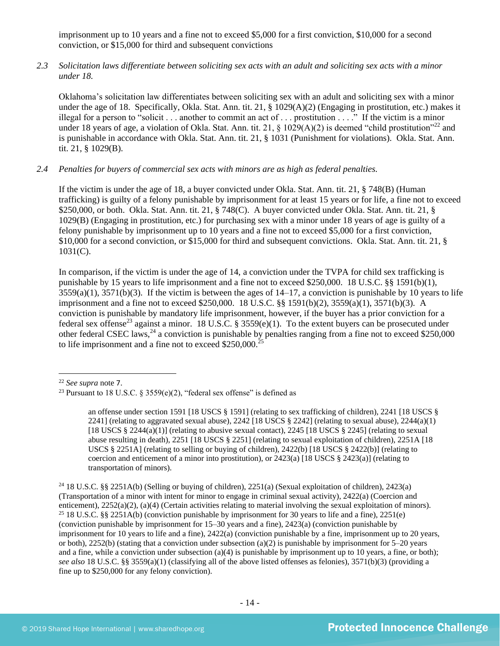imprisonment up to 10 years and a fine not to exceed \$5,000 for a first conviction, \$10,000 for a second conviction, or \$15,000 for third and subsequent convictions

*2.3 Solicitation laws differentiate between soliciting sex acts with an adult and soliciting sex acts with a minor under 18.*

Oklahoma's solicitation law differentiates between soliciting sex with an adult and soliciting sex with a minor under the age of 18. Specifically, Okla. Stat. Ann. tit. 21, § 1029(A)(2) (Engaging in prostitution, etc.) makes it illegal for a person to "solicit . . . another to commit an act of . . . prostitution . . . ." If the victim is a minor under 18 years of age, a violation of Okla. Stat. Ann. tit. 21,  $\S$  1029(A)(2) is deemed "child prostitution"<sup>22</sup> and is punishable in accordance with Okla. Stat. Ann. tit. 21, § 1031 (Punishment for violations). Okla. Stat. Ann. tit. 21, § 1029(B).

#### *2.4 Penalties for buyers of commercial sex acts with minors are as high as federal penalties.*

If the victim is under the age of 18, a buyer convicted under Okla. Stat. Ann. tit. 21, § 748(B) (Human trafficking) is guilty of a felony punishable by imprisonment for at least 15 years or for life, a fine not to exceed \$250,000, or both. Okla. Stat. Ann. tit. 21, § 748(C). A buyer convicted under Okla. Stat. Ann. tit. 21, § 1029(B) (Engaging in prostitution, etc.) for purchasing sex with a minor under 18 years of age is guilty of a felony punishable by imprisonment up to 10 years and a fine not to exceed \$5,000 for a first conviction, \$10,000 for a second conviction, or \$15,000 for third and subsequent convictions. Okla. Stat. Ann. tit. 21, §  $1031(C)$ .

<span id="page-13-0"></span>In comparison, if the victim is under the age of 14, a conviction under the TVPA for child sex trafficking is punishable by 15 years to life imprisonment and a fine not to exceed \$250,000. 18 U.S.C. §§ 1591(b)(1),  $3559(a)(1)$ ,  $3571(b)(3)$ . If the victim is between the ages of  $14-17$ , a conviction is punishable by 10 years to life imprisonment and a fine not to exceed \$250,000. 18 U.S.C. §§ 1591(b)(2), 3559(a)(1), 3571(b)(3). A conviction is punishable by mandatory life imprisonment, however, if the buyer has a prior conviction for a federal sex offense<sup>23</sup> against a minor. 18 U.S.C. § 3559(e)(1). To the extent buyers can be prosecuted under other federal CSEC laws,  $^{24}$  a conviction is punishable by penalties ranging from a fine not to exceed \$250,000 to life imprisonment and a fine not to exceed \$250,000.<sup>25</sup>

<sup>22</sup> *See supra* note [7](#page-2-0).

<sup>&</sup>lt;sup>23</sup> Pursuant to 18 U.S.C. § 3559(e)(2), "federal sex offense" is defined as

an offense under section 1591 [18 USCS § 1591] (relating to sex trafficking of children), 2241 [18 USCS § 2241] (relating to aggravated sexual abuse), 2242 [18 USCS  $\S$  2242] (relating to sexual abuse), 2244(a)(1) [18 USCS  $\S 2244(a)(1)$ ] (relating to abusive sexual contact), 2245 [18 USCS  $\S 2245$ ] (relating to sexual abuse resulting in death), 2251 [18 USCS § 2251] (relating to sexual exploitation of children), 2251A [18 USCS § 2251A] (relating to selling or buying of children), 2422(b) [18 USCS § 2422(b)] (relating to coercion and enticement of a minor into prostitution), or  $2423(a)$  [18 USCS §  $2423(a)$ ] (relating to transportation of minors).

<sup>24</sup> 18 U.S.C. §§ 2251A(b) (Selling or buying of children), 2251(a) (Sexual exploitation of children), 2423(a) (Transportation of a minor with intent for minor to engage in criminal sexual activity), 2422(a) (Coercion and enticement), 2252(a)(2), (a)(4) (Certain activities relating to material involving the sexual exploitation of minors). <sup>25</sup> 18 U.S.C. §§ 2251A(b) (conviction punishable by imprisonment for 30 years to life and a fine), 2251(e) (conviction punishable by imprisonment for 15–30 years and a fine), 2423(a) (conviction punishable by imprisonment for 10 years to life and a fine), 2422(a) (conviction punishable by a fine, imprisonment up to 20 years, or both),  $2252(b)$  (stating that a conviction under subsection (a)(2) is punishable by imprisonment for  $5-20$  years and a fine, while a conviction under subsection (a)(4) is punishable by imprisonment up to 10 years, a fine, or both); *see also* 18 U.S.C. §§ 3559(a)(1) (classifying all of the above listed offenses as felonies), 3571(b)(3) (providing a fine up to \$250,000 for any felony conviction).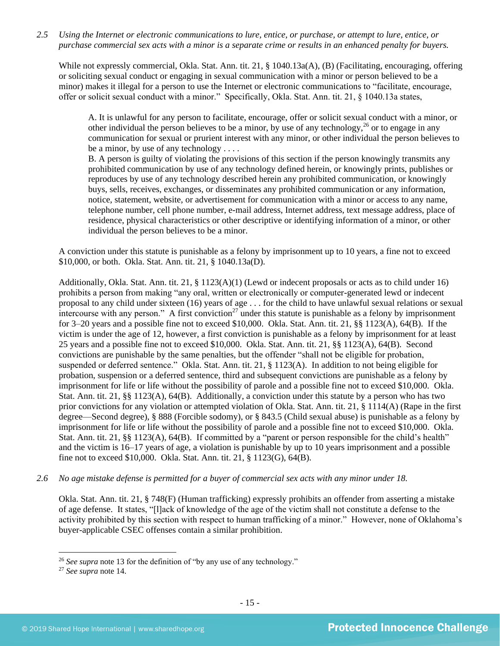*2.5 Using the Internet or electronic communications to lure, entice, or purchase, or attempt to lure, entice, or purchase commercial sex acts with a minor is a separate crime or results in an enhanced penalty for buyers.*

While not expressly commercial, Okla. Stat. Ann. tit. 21, § 1040.13a(A), (B) (Facilitating, encouraging, offering or soliciting sexual conduct or engaging in sexual communication with a minor or person believed to be a minor) makes it illegal for a person to use the Internet or electronic communications to "facilitate, encourage, offer or solicit sexual conduct with a minor." Specifically, Okla. Stat. Ann. tit. 21, § 1040.13a states,

A. It is unlawful for any person to facilitate, encourage, offer or solicit sexual conduct with a minor, or other individual the person believes to be a minor, by use of any technology,  $26$  or to engage in any communication for sexual or prurient interest with any minor, or other individual the person believes to be a minor, by use of any technology . . . .

B. A person is guilty of violating the provisions of this section if the person knowingly transmits any prohibited communication by use of any technology defined herein, or knowingly prints, publishes or reproduces by use of any technology described herein any prohibited communication, or knowingly buys, sells, receives, exchanges, or disseminates any prohibited communication or any information, notice, statement, website, or advertisement for communication with a minor or access to any name, telephone number, cell phone number, e-mail address, Internet address, text message address, place of residence, physical characteristics or other descriptive or identifying information of a minor, or other individual the person believes to be a minor.

A conviction under this statute is punishable as a felony by imprisonment up to 10 years, a fine not to exceed \$10,000, or both. Okla. Stat. Ann. tit. 21, § 1040.13a(D).

Additionally, Okla. Stat. Ann. tit. 21, § 1123(A)(1) (Lewd or indecent proposals or acts as to child under 16) prohibits a person from making "any oral, written or electronically or computer-generated lewd or indecent proposal to any child under sixteen (16) years of age . . . for the child to have unlawful sexual relations or sexual intercourse with any person." A first conviction<sup>27</sup> under this statute is punishable as a felony by imprisonment for 3–20 years and a possible fine not to exceed \$10,000. Okla. Stat. Ann. tit. 21, §§ 1123(A), 64(B). If the victim is under the age of 12, however, a first conviction is punishable as a felony by imprisonment for at least 25 years and a possible fine not to exceed \$10,000. Okla. Stat. Ann. tit. 21, §§ 1123(A), 64(B). Second convictions are punishable by the same penalties, but the offender "shall not be eligible for probation, suspended or deferred sentence." Okla. Stat. Ann. tit. 21, § 1123(A). In addition to not being eligible for probation, suspension or a deferred sentence, third and subsequent convictions are punishable as a felony by imprisonment for life or life without the possibility of parole and a possible fine not to exceed \$10,000. Okla. Stat. Ann. tit. 21, §§ 1123(A), 64(B). Additionally, a conviction under this statute by a person who has two prior convictions for any violation or attempted violation of Okla. Stat. Ann. tit. 21, § 1114(A) (Rape in the first degree—Second degree), § 888 (Forcible sodomy), or § 843.5 (Child sexual abuse) is punishable as a felony by imprisonment for life or life without the possibility of parole and a possible fine not to exceed \$10,000. Okla. Stat. Ann. tit. 21, §§ 1123(A), 64(B). If committed by a "parent or person responsible for the child's health" and the victim is 16–17 years of age, a violation is punishable by up to 10 years imprisonment and a possible fine not to exceed \$10,000. Okla. Stat. Ann. tit. 21, § 1123(G), 64(B).

*2.6 No age mistake defense is permitted for a buyer of commercial sex acts with any minor under 18.*

Okla. Stat. Ann. tit. 21, § 748(F) (Human trafficking) expressly prohibits an offender from asserting a mistake of age defense. It states, "[l]ack of knowledge of the age of the victim shall not constitute a defense to the activity prohibited by this section with respect to human trafficking of a minor." However, none of Oklahoma's buyer-applicable CSEC offenses contain a similar prohibition.

<sup>&</sup>lt;sup>26</sup> See supra note [13](#page-5-0) for the definition of "by any use of any technology."

<sup>27</sup> *See supra* note [14.](#page-7-0)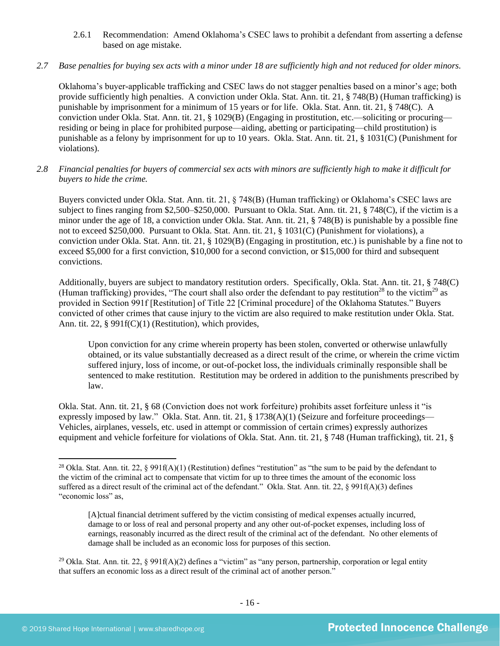2.6.1 Recommendation: Amend Oklahoma's CSEC laws to prohibit a defendant from asserting a defense based on age mistake.

## *2.7 Base penalties for buying sex acts with a minor under 18 are sufficiently high and not reduced for older minors.*

Oklahoma's buyer-applicable trafficking and CSEC laws do not stagger penalties based on a minor's age; both provide sufficiently high penalties. A conviction under Okla. Stat. Ann. tit. 21, § 748(B) (Human trafficking) is punishable by imprisonment for a minimum of 15 years or for life. Okla. Stat. Ann. tit. 21, § 748(C). A conviction under Okla. Stat. Ann. tit. 21, § 1029(B) (Engaging in prostitution, etc.—soliciting or procuring residing or being in place for prohibited purpose—aiding, abetting or participating—child prostitution) is punishable as a felony by imprisonment for up to 10 years. Okla. Stat. Ann. tit. 21, § 1031(C) (Punishment for violations).

*2.8 Financial penalties for buyers of commercial sex acts with minors are sufficiently high to make it difficult for buyers to hide the crime.* 

Buyers convicted under Okla. Stat. Ann. tit. 21, § 748(B) (Human trafficking) or Oklahoma's CSEC laws are subject to fines ranging from \$2,500–\$250,000. Pursuant to Okla. Stat. Ann. tit. 21, § 748(C), if the victim is a minor under the age of 18, a conviction under Okla. Stat. Ann. tit. 21, § 748(B) is punishable by a possible fine not to exceed \$250,000. Pursuant to Okla. Stat. Ann. tit. 21, § 1031(C) (Punishment for violations), a conviction under Okla. Stat. Ann. tit. 21, § 1029(B) (Engaging in prostitution, etc.) is punishable by a fine not to exceed \$5,000 for a first conviction, \$10,000 for a second conviction, or \$15,000 for third and subsequent convictions.

Additionally, buyers are subject to mandatory restitution orders. Specifically, Okla. Stat. Ann. tit. 21, § 748(C) (Human trafficking) provides, "The court shall also order the defendant to pay restitution<sup>28</sup> to the victim<sup>29</sup> as provided in Section 991f [Restitution] of Title 22 [Criminal procedure] of the Oklahoma Statutes." Buyers convicted of other crimes that cause injury to the victim are also required to make restitution under Okla. Stat. Ann. tit. 22, § 991f(C)(1) (Restitution), which provides,

<span id="page-15-1"></span><span id="page-15-0"></span>Upon conviction for any crime wherein property has been stolen, converted or otherwise unlawfully obtained, or its value substantially decreased as a direct result of the crime, or wherein the crime victim suffered injury, loss of income, or out-of-pocket loss, the individuals criminally responsible shall be sentenced to make restitution. Restitution may be ordered in addition to the punishments prescribed by law.

Okla. Stat. Ann. tit. 21, § 68 (Conviction does not work forfeiture) prohibits asset forfeiture unless it "is expressly imposed by law." Okla. Stat. Ann. tit. 21, § 1738(A)(1) (Seizure and forfeiture proceedings— Vehicles, airplanes, vessels, etc. used in attempt or commission of certain crimes) expressly authorizes equipment and vehicle forfeiture for violations of Okla. Stat. Ann. tit. 21, § 748 (Human trafficking), tit. 21, §

[A]ctual financial detriment suffered by the victim consisting of medical expenses actually incurred, damage to or loss of real and personal property and any other out-of-pocket expenses, including loss of earnings, reasonably incurred as the direct result of the criminal act of the defendant. No other elements of damage shall be included as an economic loss for purposes of this section.

<sup>&</sup>lt;sup>28</sup> Okla. Stat. Ann. tit. 22, § 991f(A)(1) (Restitution) defines "restitution" as "the sum to be paid by the defendant to the victim of the criminal act to compensate that victim for up to three times the amount of the economic loss suffered as a direct result of the criminal act of the defendant." Okla. Stat. Ann. tit. 22, § 991f(A)(3) defines "economic loss" as,

<sup>&</sup>lt;sup>29</sup> Okla. Stat. Ann. tit. 22, § 991f(A)(2) defines a "victim" as "any person, partnership, corporation or legal entity that suffers an economic loss as a direct result of the criminal act of another person."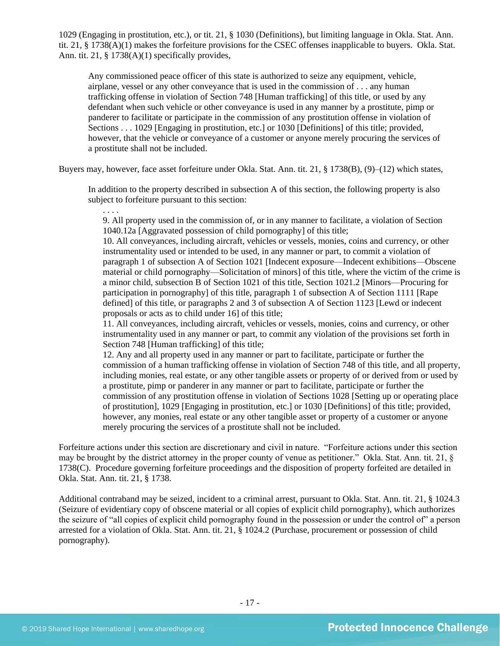1029 (Engaging in prostitution, etc.), or tit. 21, § 1030 (Definitions), but limiting language in Okla. Stat. Ann. tit. 21, § 1738(A)(1) makes the forfeiture provisions for the CSEC offenses inapplicable to buyers. Okla. Stat. Ann. tit. 21, § 1738(A)(1) specifically provides,

Any commissioned peace officer of this state is authorized to seize any equipment, vehicle, airplane, vessel or any other conveyance that is used in the commission of . . . any human trafficking offense in violation of Section 748 [Human trafficking] of this title, or used by any defendant when such vehicle or other conveyance is used in any manner by a prostitute, pimp or panderer to facilitate or participate in the commission of any prostitution offense in violation of Sections . . . 1029 [Engaging in prostitution, etc.] or 1030 [Definitions] of this title; provided, however, that the vehicle or conveyance of a customer or anyone merely procuring the services of a prostitute shall not be included.

Buyers may, however, face asset forfeiture under Okla. Stat. Ann. tit. 21, § 1738(B), (9)–(12) which states,

In addition to the property described in subsection A of this section, the following property is also subject to forfeiture pursuant to this section:

. . . . 9. All property used in the commission of, or in any manner to facilitate, a violation of Section 1040.12a [Aggravated possession of child pornography] of this title;

10. All conveyances, including aircraft, vehicles or vessels, monies, coins and currency, or other instrumentality used or intended to be used, in any manner or part, to commit a violation of paragraph 1 of subsection A of Section 1021 [Indecent exposure—Indecent exhibitions—Obscene material or child pornography—Solicitation of minors] of this title, where the victim of the crime is a minor child, subsection B of Section 1021 of this title, Section 1021.2 [Minors—Procuring for participation in pornography] of this title, paragraph 1 of subsection A of Section 1111 [Rape defined] of this title, or paragraphs 2 and 3 of subsection A of Section 1123 [Lewd or indecent proposals or acts as to child under 16] of this title;

11. All conveyances, including aircraft, vehicles or vessels, monies, coins and currency, or other instrumentality used in any manner or part, to commit any violation of the provisions set forth in Section 748 [Human trafficking] of this title;

12. Any and all property used in any manner or part to facilitate, participate or further the commission of a human trafficking offense in violation of Section 748 of this title, and all property, including monies, real estate, or any other tangible assets or property of or derived from or used by a prostitute, pimp or panderer in any manner or part to facilitate, participate or further the commission of any prostitution offense in violation of Sections 1028 [Setting up or operating place of prostitution], 1029 [Engaging in prostitution, etc.] or 1030 [Definitions] of this title; provided, however, any monies, real estate or any other tangible asset or property of a customer or anyone merely procuring the services of a prostitute shall not be included.

Forfeiture actions under this section are discretionary and civil in nature. "Forfeiture actions under this section may be brought by the district attorney in the proper county of venue as petitioner." Okla. Stat. Ann. tit. 21, § 1738(C). Procedure governing forfeiture proceedings and the disposition of property forfeited are detailed in Okla. Stat. Ann. tit. 21, § 1738.

Additional contraband may be seized, incident to a criminal arrest, pursuant to Okla. Stat. Ann. tit. 21, § 1024.3 (Seizure of evidentiary copy of obscene material or all copies of explicit child pornography), which authorizes the seizure of "all copies of explicit child pornography found in the possession or under the control of" a person arrested for a violation of Okla. Stat. Ann. tit. 21, § 1024.2 (Purchase, procurement or possession of child pornography).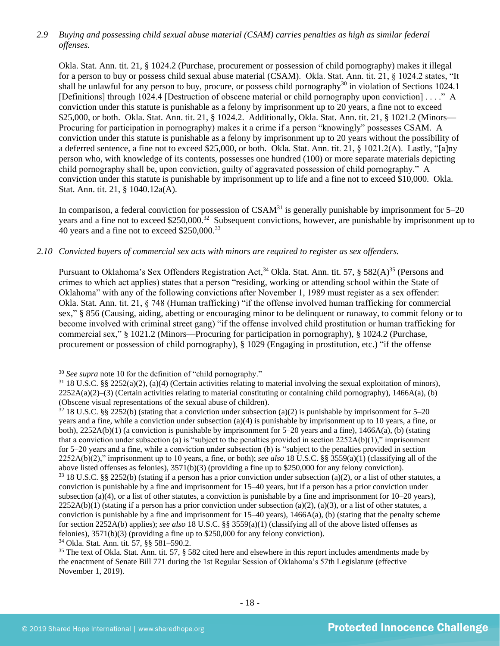## *2.9 Buying and possessing child sexual abuse material (CSAM) carries penalties as high as similar federal offenses.*

Okla. Stat. Ann. tit. 21, § 1024.2 (Purchase, procurement or possession of child pornography) makes it illegal for a person to buy or possess child sexual abuse material (CSAM). Okla. Stat. Ann. tit. 21, § 1024.2 states, "It shall be unlawful for any person to buy, procure, or possess child pornography<sup>30</sup> in violation of Sections 1024.1 [Definitions] through 1024.4 [Destruction of obscene material or child pornography upon conviction] . . . ." A conviction under this statute is punishable as a felony by imprisonment up to 20 years, a fine not to exceed \$25,000, or both. Okla. Stat. Ann. tit. 21, § 1024.2. Additionally, Okla. Stat. Ann. tit. 21, § 1021.2 (Minors— Procuring for participation in pornography) makes it a crime if a person "knowingly" possesses CSAM. A conviction under this statute is punishable as a felony by imprisonment up to 20 years without the possibility of a deferred sentence, a fine not to exceed \$25,000, or both. Okla. Stat. Ann. tit. 21, § 1021.2(A). Lastly, "[a]ny person who, with knowledge of its contents, possesses one hundred (100) or more separate materials depicting child pornography shall be, upon conviction, guilty of aggravated possession of child pornography." A conviction under this statute is punishable by imprisonment up to life and a fine not to exceed \$10,000. Okla. Stat. Ann. tit. 21, § 1040.12a(A).

In comparison, a federal conviction for possession of  $CSAM<sup>31</sup>$  is generally punishable by imprisonment for  $5-20$ years and a fine not to exceed \$250,000.<sup>32</sup> Subsequent convictions, however, are punishable by imprisonment up to  $40$  years and a fine not to exceed \$250,000.<sup>33</sup>

## *2.10 Convicted buyers of commercial sex acts with minors are required to register as sex offenders.*

<span id="page-17-0"></span>Pursuant to Oklahoma's Sex Offenders Registration Act,<sup>34</sup> Okla. Stat. Ann. tit. 57, § 582(A)<sup>35</sup> (Persons and crimes to which act applies) states that a person "residing, working or attending school within the State of Oklahoma" with any of the following convictions after November 1, 1989 must register as a sex offender: Okla. Stat. Ann. tit. 21, § 748 (Human trafficking) "if the offense involved human trafficking for commercial sex," § 856 (Causing, aiding, abetting or encouraging minor to be delinquent or runaway, to commit felony or to become involved with criminal street gang) "if the offense involved child prostitution or human trafficking for commercial sex," § 1021.2 (Minors—Procuring for participation in pornography), § 1024.2 (Purchase, procurement or possession of child pornography), § 1029 (Engaging in prostitution, etc.) "if the offense

<sup>34</sup> Okla. Stat. Ann. tit. 57, §§ 581–590.2.

<sup>30</sup> *See supra* note [10](#page-3-0) for the definition of "child pornography."

 $31$  18 U.S.C. §§ 2252(a)(2), (a)(4) (Certain activities relating to material involving the sexual exploitation of minors),  $2252A(a)(2)$ –(3) (Certain activities relating to material constituting or containing child pornography), 1466A(a), (b) (Obscene visual representations of the sexual abuse of children).

 $32\,18$  U.S.C. §§ 2252(b) (stating that a conviction under subsection (a)(2) is punishable by imprisonment for 5–20 years and a fine, while a conviction under subsection (a)(4) is punishable by imprisonment up to 10 years, a fine, or both),  $2252A(b)(1)$  (a conviction is punishable by imprisonment for 5–20 years and a fine),  $1466A(a)$ , (b) (stating that a conviction under subsection (a) is "subject to the penalties provided in section 2252A(b)(1)," imprisonment for 5–20 years and a fine, while a conviction under subsection (b) is "subject to the penalties provided in section 2252A(b)(2)," imprisonment up to 10 years, a fine, or both); *see also* 18 U.S.C. §§ 3559(a)(1) (classifying all of the above listed offenses as felonies), 3571(b)(3) (providing a fine up to \$250,000 for any felony conviction).

<sup>33</sup> 18 U.S.C. §§ 2252(b) (stating if a person has a prior conviction under subsection (a)(2), or a list of other statutes, a conviction is punishable by a fine and imprisonment for 15–40 years, but if a person has a prior conviction under subsection (a)(4), or a list of other statutes, a conviction is punishable by a fine and imprisonment for  $10-20$  years),  $2252A(b)(1)$  (stating if a person has a prior conviction under subsection (a)(2), (a)(3), or a list of other statutes, a conviction is punishable by a fine and imprisonment for  $15-40$  years),  $1466A(a)$ , (b) (stating that the penalty scheme for section 2252A(b) applies); *see also* 18 U.S.C. §§ 3559(a)(1) (classifying all of the above listed offenses as felonies), 3571(b)(3) (providing a fine up to \$250,000 for any felony conviction).

 $35$  The text of Okla. Stat. Ann. tit. 57, § 582 cited here and elsewhere in this report includes amendments made by the enactment of Senate Bill 771 during the 1st Regular Session of Oklahoma's 57th Legislature (effective November 1, 2019).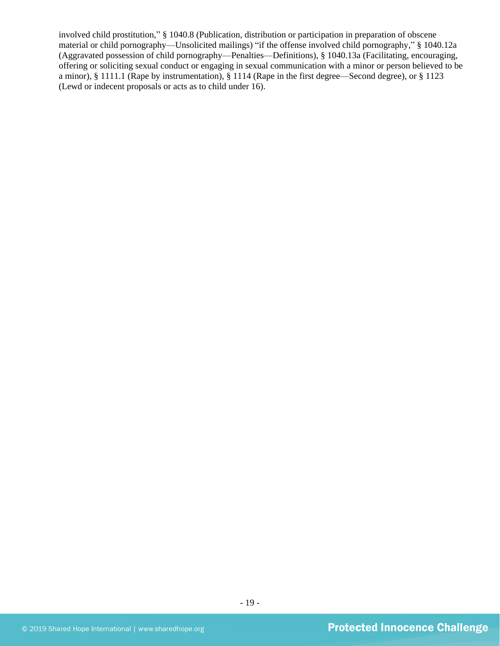involved child prostitution," § 1040.8 (Publication, distribution or participation in preparation of obscene material or child pornography—Unsolicited mailings) "if the offense involved child pornography," § 1040.12a (Aggravated possession of child pornography—Penalties—Definitions), § 1040.13a (Facilitating, encouraging, offering or soliciting sexual conduct or engaging in sexual communication with a minor or person believed to be a minor), § 1111.1 (Rape by instrumentation), § 1114 (Rape in the first degree—Second degree), or § 1123 (Lewd or indecent proposals or acts as to child under 16).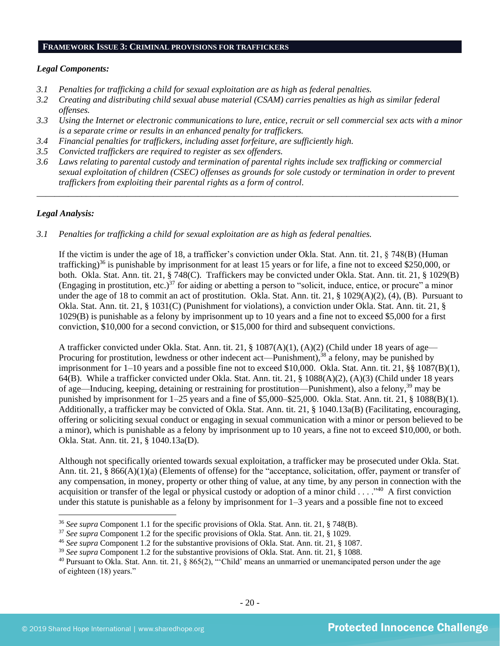#### **FRAMEWORK ISSUE 3: CRIMINAL PROVISIONS FOR TRAFFICKERS**

#### *Legal Components:*

- *3.1 Penalties for trafficking a child for sexual exploitation are as high as federal penalties.*
- *3.2 Creating and distributing child sexual abuse material (CSAM) carries penalties as high as similar federal offenses.*
- *3.3 Using the Internet or electronic communications to lure, entice, recruit or sell commercial sex acts with a minor is a separate crime or results in an enhanced penalty for traffickers.*
- *3.4 Financial penalties for traffickers, including asset forfeiture, are sufficiently high.*
- *3.5 Convicted traffickers are required to register as sex offenders.*
- *3.6 Laws relating to parental custody and termination of parental rights include sex trafficking or commercial sexual exploitation of children (CSEC) offenses as grounds for sole custody or termination in order to prevent traffickers from exploiting their parental rights as a form of control.*

*\_\_\_\_\_\_\_\_\_\_\_\_\_\_\_\_\_\_\_\_\_\_\_\_\_\_\_\_\_\_\_\_\_\_\_\_\_\_\_\_\_\_\_\_\_\_\_\_\_\_\_\_\_\_\_\_\_\_\_\_\_\_\_\_\_\_\_\_\_\_\_\_\_\_\_\_\_\_\_\_\_\_\_\_\_\_\_\_\_\_\_\_\_\_*

## *Legal Analysis:*

*3.1 Penalties for trafficking a child for sexual exploitation are as high as federal penalties.* 

If the victim is under the age of 18, a trafficker's conviction under Okla. Stat. Ann. tit. 21, § 748(B) (Human trafficking)<sup>36</sup> is punishable by imprisonment for at least 15 years or for life, a fine not to exceed \$250,000, or both. Okla. Stat. Ann. tit. 21, § 748(C). Traffickers may be convicted under Okla. Stat. Ann. tit. 21, § 1029(B) (Engaging in prostitution, etc.)<sup>37</sup> for aiding or abetting a person to "solicit, induce, entice, or procure" a minor under the age of 18 to commit an act of prostitution. Okla. Stat. Ann. tit. 21, § 1029(A)(2), (4), (B). Pursuant to Okla. Stat. Ann. tit. 21, § 1031(C) (Punishment for violations), a conviction under Okla. Stat. Ann. tit. 21, § 1029(B) is punishable as a felony by imprisonment up to 10 years and a fine not to exceed \$5,000 for a first conviction, \$10,000 for a second conviction, or \$15,000 for third and subsequent convictions.

A trafficker convicted under Okla. Stat. Ann. tit. 21, § 1087(A)(1), (A)(2) (Child under 18 years of age— Procuring for prostitution, lewdness or other indecent act—Punishment),<sup>38</sup> a felony, may be punished by imprisonment for 1–10 years and a possible fine not to exceed \$10,000. Okla. Stat. Ann. tit. 21, §§ 1087(B)(1), 64(B). While a trafficker convicted under Okla. Stat. Ann. tit. 21, § 1088(A)(2), (A)(3) (Child under 18 years of age—Inducing, keeping, detaining or restraining for prostitution—Punishment), also a felony,<sup>39</sup> may be punished by imprisonment for 1–25 years and a fine of \$5,000–\$25,000. Okla. Stat. Ann. tit. 21, § 1088(B)(1). Additionally, a trafficker may be convicted of Okla. Stat. Ann. tit. 21, § 1040.13a(B) (Facilitating, encouraging, offering or soliciting sexual conduct or engaging in sexual communication with a minor or person believed to be a minor), which is punishable as a felony by imprisonment up to 10 years, a fine not to exceed \$10,000, or both. Okla. Stat. Ann. tit. 21, § 1040.13a(D).

Although not specifically oriented towards sexual exploitation, a trafficker may be prosecuted under Okla. Stat. Ann. tit. 21, § 866(A)(1)(a) (Elements of offense) for the "acceptance, solicitation, offer, payment or transfer of any compensation, in money, property or other thing of value, at any time, by any person in connection with the acquisition or transfer of the legal or physical custody or adoption of a minor child  $\dots$ ."<sup>40</sup> A first conviction under this statute is punishable as a felony by imprisonment for  $1-3$  years and a possible fine not to exceed

<sup>36</sup> *See supra* Component 1.1 for the specific provisions of Okla. Stat. Ann. tit. 21, § 748(B).

<sup>37</sup> *See supra* Component 1.2 for the specific provisions of Okla. Stat. Ann. tit. 21, § 1029.

<sup>46</sup> *See supra* Component 1.2 for the substantive provisions of Okla. Stat. Ann. tit. 21, § 1087.

<sup>39</sup> *See supra* Component 1.2 for the substantive provisions of Okla. Stat. Ann. tit. 21, § 1088.

 $40$  Pursuant to Okla. Stat. Ann. tit. 21, § 865(2), "Child' means an unmarried or unemancipated person under the age of eighteen (18) years."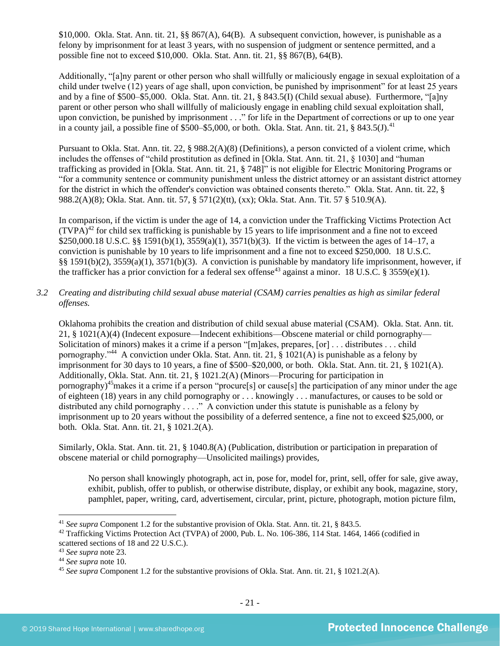\$10,000. Okla. Stat. Ann. tit. 21,  $\S$ § 867(A), 64(B). A subsequent conviction, however, is punishable as a felony by imprisonment for at least 3 years, with no suspension of judgment or sentence permitted, and a possible fine not to exceed \$10,000. Okla. Stat. Ann. tit. 21, §§ 867(B), 64(B).

Additionally, "[a]ny parent or other person who shall willfully or maliciously engage in sexual exploitation of a child under twelve (12) years of age shall, upon conviction, be punished by imprisonment" for at least 25 years and by a fine of \$500–\$5,000. Okla. Stat. Ann. tit. 21, § 843.5(I) (Child sexual abuse). Furthermore, "[a]ny parent or other person who shall willfully of maliciously engage in enabling child sexual exploitation shall, upon conviction, be punished by imprisonment . . ." for life in the Department of corrections or up to one year in a county jail, a possible fine of \$500–\$5,000, or both. Okla. Stat. Ann. tit. 21, § 843.5(J).<sup>41</sup>

Pursuant to Okla. Stat. Ann. tit. 22, § 988.2(A)(8) (Definitions), a person convicted of a violent crime, which includes the offenses of "child prostitution as defined in [Okla. Stat. Ann. tit. 21, § 1030] and "human trafficking as provided in [Okla. Stat. Ann. tit. 21, § 748]" is not eligible for Electric Monitoring Programs or "for a community sentence or community punishment unless the district attorney or an assistant district attorney for the district in which the offender's conviction was obtained consents thereto." Okla. Stat. Ann. tit. 22, § 988.2(A)(8); Okla. Stat. Ann. tit. 57, § 571(2)(tt), (xx); Okla. Stat. Ann. Tit. 57 § 510.9(A).

In comparison, if the victim is under the age of 14, a conviction under the Trafficking Victims Protection Act  $(TVPA)^{42}$  for child sex trafficking is punishable by 15 years to life imprisonment and a fine not to exceed \$250,000.18 U.S.C. §§ 1591(b)(1), 3559(a)(1), 3571(b)(3). If the victim is between the ages of 14–17, a conviction is punishable by 10 years to life imprisonment and a fine not to exceed \$250,000. 18 U.S.C. §§ 1591(b)(2), 3559(a)(1), 3571(b)(3). A conviction is punishable by mandatory life imprisonment, however, if the trafficker has a prior conviction for a federal sex offense<sup>43</sup> against a minor. 18 U.S.C. § 3559(e)(1).

## *3.2 Creating and distributing child sexual abuse material (CSAM) carries penalties as high as similar federal offenses.*

Oklahoma prohibits the creation and distribution of child sexual abuse material (CSAM). Okla. Stat. Ann. tit. 21, § 1021(A)(4) (Indecent exposure—Indecent exhibitions—Obscene material or child pornography— Solicitation of minors) makes it a crime if a person "[m]akes, prepares, [or] . . . distributes . . . child pornography."<sup>44</sup> A conviction under Okla. Stat. Ann. tit. 21, § 1021(A) is punishable as a felony by imprisonment for 30 days to 10 years, a fine of \$500–\$20,000, or both. Okla. Stat. Ann. tit. 21, § 1021(A). Additionally, Okla. Stat. Ann. tit. 21, § 1021.2(A) (Minors—Procuring for participation in pornography)<sup>45</sup>makes it a crime if a person "procure[s] or cause[s] the participation of any minor under the age of eighteen (18) years in any child pornography or . . . knowingly . . . manufactures, or causes to be sold or distributed any child pornography . . . ." A conviction under this statute is punishable as a felony by imprisonment up to 20 years without the possibility of a deferred sentence, a fine not to exceed \$25,000, or both. Okla. Stat. Ann. tit. 21, § 1021.2(A).

Similarly, Okla. Stat. Ann. tit. 21, § 1040.8(A) (Publication, distribution or participation in preparation of obscene material or child pornography—Unsolicited mailings) provides,

No person shall knowingly photograph, act in, pose for, model for, print, sell, offer for sale, give away, exhibit, publish, offer to publish, or otherwise distribute, display, or exhibit any book, magazine, story, pamphlet, paper, writing, card, advertisement, circular, print, picture, photograph, motion picture film,

<sup>41</sup> *See supra* Component 1.2 for the substantive provision of Okla. Stat. Ann. tit. 21, § 843.5.

<sup>42</sup> Trafficking Victims Protection Act (TVPA) of 2000, Pub. L. No. 106-386, 114 Stat. 1464, 1466 (codified in scattered sections of 18 and 22 U.S.C.).

<sup>43</sup> *See supra* note [23.](#page-13-0)

<sup>44</sup> *See supra* note [10.](#page-3-0) 

<sup>45</sup> *See supra* Component 1.2 for the substantive provisions of Okla. Stat. Ann. tit. 21, § 1021.2(A).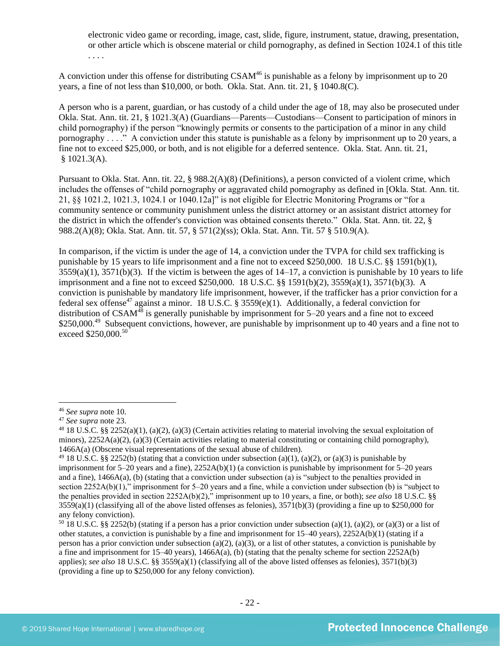electronic video game or recording, image, cast, slide, figure, instrument, statue, drawing, presentation, or other article which is obscene material or child pornography, as defined in Section 1024.1 of this title . . . .

A conviction under this offense for distributing CSAM<sup>46</sup> is punishable as a felony by imprisonment up to 20 years, a fine of not less than \$10,000, or both. Okla. Stat. Ann. tit. 21, § 1040.8(C).

A person who is a parent, guardian, or has custody of a child under the age of 18, may also be prosecuted under Okla. Stat. Ann. tit. 21, § 1021.3(A) (Guardians—Parents—Custodians—Consent to participation of minors in child pornography) if the person "knowingly permits or consents to the participation of a minor in any child pornography . . . ." A conviction under this statute is punishable as a felony by imprisonment up to 20 years, a fine not to exceed \$25,000, or both, and is not eligible for a deferred sentence. Okla. Stat. Ann. tit. 21,  $$1021.3(A).$ 

Pursuant to Okla. Stat. Ann. tit. 22, § 988.2(A)(8) (Definitions), a person convicted of a violent crime, which includes the offenses of "child pornography or aggravated child pornography as defined in [Okla. Stat. Ann. tit. 21, §§ 1021.2, 1021.3, 1024.1 or 1040.12a]" is not eligible for Electric Monitoring Programs or "for a community sentence or community punishment unless the district attorney or an assistant district attorney for the district in which the offender's conviction was obtained consents thereto." Okla. Stat. Ann. tit. 22, § 988.2(A)(8); Okla. Stat. Ann. tit. 57, § 571(2)(ss); Okla. Stat. Ann. Tit. 57 § 510.9(A).

In comparison, if the victim is under the age of 14, a conviction under the TVPA for child sex trafficking is punishable by 15 years to life imprisonment and a fine not to exceed \$250,000. 18 U.S.C. §§ 1591(b)(1),  $3559(a)(1)$ ,  $3571(b)(3)$ . If the victim is between the ages of  $14-17$ , a conviction is punishable by 10 years to life imprisonment and a fine not to exceed \$250,000. 18 U.S.C. §§ 1591(b)(2), 3559(a)(1), 3571(b)(3). A conviction is punishable by mandatory life imprisonment, however, if the trafficker has a prior conviction for a federal sex offense<sup>47</sup> against a minor. 18 U.S.C. § 3559(e)(1). Additionally, a federal conviction for distribution of  $CSAM^{48}$  is generally punishable by imprisonment for 5–20 years and a fine not to exceed \$250,000.<sup>49</sup> Subsequent convictions, however, are punishable by imprisonment up to 40 years and a fine not to exceed \$250,000.<sup>50</sup>

<sup>46</sup> *See supra* note [10.](#page-3-0)

<sup>47</sup> *See supra* note [23.](#page-13-0)

 $48\,18\,$  U.S.C. §§ 2252(a)(1), (a)(2), (a)(3) (Certain activities relating to material involving the sexual exploitation of minors),  $2252A(a)(2)$ , (a)(3) (Certain activities relating to material constituting or containing child pornography), 1466A(a) (Obscene visual representations of the sexual abuse of children).

<sup>&</sup>lt;sup>49</sup> 18 U.S.C. §§ 2252(b) (stating that a conviction under subsection (a)(1), (a)(2), or (a)(3) is punishable by imprisonment for 5–20 years and a fine), 2252A(b)(1) (a conviction is punishable by imprisonment for 5–20 years and a fine), 1466A(a), (b) (stating that a conviction under subsection (a) is "subject to the penalties provided in section 2252A(b)(1)," imprisonment for 5–20 years and a fine, while a conviction under subsection (b) is "subject to the penalties provided in section 2252A(b)(2)," imprisonment up to 10 years, a fine, or both); *see also* 18 U.S.C. §§  $3559(a)(1)$  (classifying all of the above listed offenses as felonies),  $3571(b)(3)$  (providing a fine up to \$250,000 for any felony conviction).

<sup>&</sup>lt;sup>50</sup> 18 U.S.C. §§ 2252(b) (stating if a person has a prior conviction under subsection (a)(1), (a)(2), or (a)(3) or a list of other statutes, a conviction is punishable by a fine and imprisonment for 15–40 years), 2252A(b)(1) (stating if a person has a prior conviction under subsection (a)(2), (a)(3), or a list of other statutes, a conviction is punishable by a fine and imprisonment for 15–40 years), 1466A(a), (b) (stating that the penalty scheme for section 2252A(b) applies); *see also* 18 U.S.C. §§ 3559(a)(1) (classifying all of the above listed offenses as felonies), 3571(b)(3) (providing a fine up to \$250,000 for any felony conviction).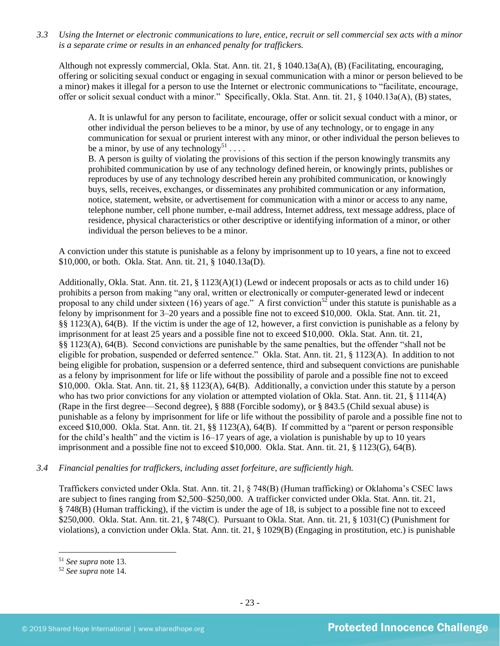*3.3 Using the Internet or electronic communications to lure, entice, recruit or sell commercial sex acts with a minor is a separate crime or results in an enhanced penalty for traffickers.*

Although not expressly commercial, Okla. Stat. Ann. tit. 21, § 1040.13a(A), (B) (Facilitating, encouraging, offering or soliciting sexual conduct or engaging in sexual communication with a minor or person believed to be a minor) makes it illegal for a person to use the Internet or electronic communications to "facilitate, encourage, offer or solicit sexual conduct with a minor." Specifically, Okla. Stat. Ann. tit. 21, § 1040.13a(A), (B) states,

A. It is unlawful for any person to facilitate, encourage, offer or solicit sexual conduct with a minor, or other individual the person believes to be a minor, by use of any technology, or to engage in any communication for sexual or prurient interest with any minor, or other individual the person believes to be a minor, by use of any technology<sup>51</sup>...

B. A person is guilty of violating the provisions of this section if the person knowingly transmits any prohibited communication by use of any technology defined herein, or knowingly prints, publishes or reproduces by use of any technology described herein any prohibited communication, or knowingly buys, sells, receives, exchanges, or disseminates any prohibited communication or any information, notice, statement, website, or advertisement for communication with a minor or access to any name, telephone number, cell phone number, e-mail address, Internet address, text message address, place of residence, physical characteristics or other descriptive or identifying information of a minor, or other individual the person believes to be a minor.

A conviction under this statute is punishable as a felony by imprisonment up to 10 years, a fine not to exceed \$10,000, or both. Okla. Stat. Ann. tit. 21, § 1040.13a(D).

Additionally, Okla. Stat. Ann. tit. 21, § 1123(A)(1) (Lewd or indecent proposals or acts as to child under 16) prohibits a person from making "any oral, written or electronically or computer-generated lewd or indecent proposal to any child under sixteen (16) years of age." A first conviction<sup>52</sup> under this statute is punishable as a felony by imprisonment for 3–20 years and a possible fine not to exceed \$10,000. Okla. Stat. Ann. tit. 21, §§ 1123(A), 64(B). If the victim is under the age of 12, however, a first conviction is punishable as a felony by imprisonment for at least 25 years and a possible fine not to exceed \$10,000. Okla. Stat. Ann. tit. 21, §§ 1123(A), 64(B). Second convictions are punishable by the same penalties, but the offender "shall not be eligible for probation, suspended or deferred sentence." Okla. Stat. Ann. tit. 21, § 1123(A). In addition to not being eligible for probation, suspension or a deferred sentence, third and subsequent convictions are punishable as a felony by imprisonment for life or life without the possibility of parole and a possible fine not to exceed \$10,000. Okla. Stat. Ann. tit. 21, §§ 1123(A), 64(B). Additionally, a conviction under this statute by a person who has two prior convictions for any violation or attempted violation of Okla. Stat. Ann. tit. 21, § 1114(A) (Rape in the first degree—Second degree), § 888 (Forcible sodomy), or § 843.5 (Child sexual abuse) is punishable as a felony by imprisonment for life or life without the possibility of parole and a possible fine not to exceed \$10,000. Okla. Stat. Ann. tit. 21, §§ 1123(A), 64(B). If committed by a "parent or person responsible for the child's health" and the victim is 16–17 years of age, a violation is punishable by up to 10 years imprisonment and a possible fine not to exceed \$10,000. Okla. Stat. Ann. tit. 21, § 1123(G), 64(B).

## *3.4 Financial penalties for traffickers, including asset forfeiture, are sufficiently high.*

Traffickers convicted under Okla. Stat. Ann. tit. 21, § 748(B) (Human trafficking) or Oklahoma's CSEC laws are subject to fines ranging from \$2,500–\$250,000. A trafficker convicted under Okla. Stat. Ann. tit. 21, § 748(B) (Human trafficking), if the victim is under the age of 18, is subject to a possible fine not to exceed \$250,000. Okla. Stat. Ann. tit. 21, § 748(C). Pursuant to Okla. Stat. Ann. tit. 21, § 1031(C) (Punishment for violations), a conviction under Okla. Stat. Ann. tit. 21, § 1029(B) (Engaging in prostitution, etc.) is punishable

<sup>51</sup> *See supra* note [13.](#page-5-0) 

<sup>52</sup> *See supra* note [14.](#page-7-0)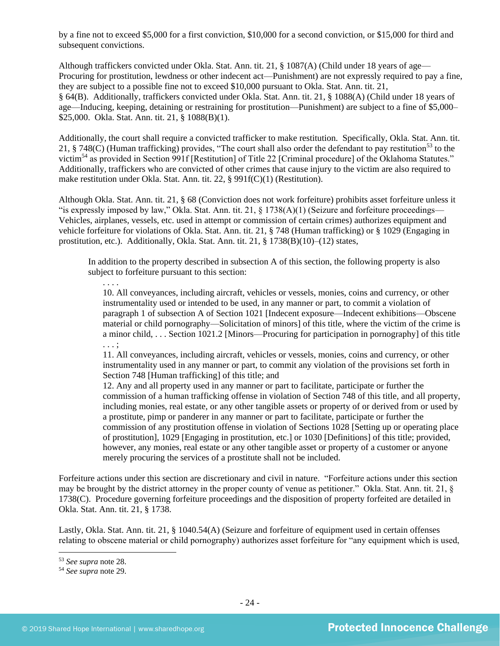by a fine not to exceed \$5,000 for a first conviction, \$10,000 for a second conviction, or \$15,000 for third and subsequent convictions.

Although traffickers convicted under Okla. Stat. Ann. tit. 21, § 1087(A) (Child under 18 years of age— Procuring for prostitution, lewdness or other indecent act—Punishment) are not expressly required to pay a fine, they are subject to a possible fine not to exceed \$10,000 pursuant to Okla. Stat. Ann. tit. 21, § 64(B). Additionally, traffickers convicted under Okla. Stat. Ann. tit. 21, § 1088(A) (Child under 18 years of age—Inducing, keeping, detaining or restraining for prostitution—Punishment) are subject to a fine of \$5,000– \$25,000. Okla. Stat. Ann. tit. 21, § 1088(B)(1).

Additionally, the court shall require a convicted trafficker to make restitution. Specifically, Okla. Stat. Ann. tit. 21, § 748(C) (Human trafficking) provides, "The court shall also order the defendant to pay restitution<sup>53</sup> to the victim<sup>54</sup> as provided in Section 991f [Restitution] of Title 22 [Criminal procedure] of the Oklahoma Statutes." Additionally, traffickers who are convicted of other crimes that cause injury to the victim are also required to make restitution under Okla. Stat. Ann. tit. 22, § 991f(C)(1) (Restitution).

Although Okla. Stat. Ann. tit. 21, § 68 (Conviction does not work forfeiture) prohibits asset forfeiture unless it "is expressly imposed by law," Okla. Stat. Ann. tit. 21,  $\S$  1738(A)(1) (Seizure and forfeiture proceedings— Vehicles, airplanes, vessels, etc. used in attempt or commission of certain crimes) authorizes equipment and vehicle forfeiture for violations of Okla. Stat. Ann. tit. 21, § 748 (Human trafficking) or § 1029 (Engaging in prostitution, etc.). Additionally, Okla. Stat. Ann. tit. 21, § 1738(B)(10)–(12) states,

In addition to the property described in subsection A of this section, the following property is also subject to forfeiture pursuant to this section:

10. All conveyances, including aircraft, vehicles or vessels, monies, coins and currency, or other instrumentality used or intended to be used, in any manner or part, to commit a violation of paragraph 1 of subsection A of Section 1021 [Indecent exposure—Indecent exhibitions—Obscene material or child pornography—Solicitation of minors] of this title, where the victim of the crime is a minor child, . . . Section 1021.2 [Minors—Procuring for participation in pornography] of this title . . . ;

11. All conveyances, including aircraft, vehicles or vessels, monies, coins and currency, or other instrumentality used in any manner or part, to commit any violation of the provisions set forth in Section 748 [Human trafficking] of this title; and

12. Any and all property used in any manner or part to facilitate, participate or further the commission of a human trafficking offense in violation of Section 748 of this title, and all property, including monies, real estate, or any other tangible assets or property of or derived from or used by a prostitute, pimp or panderer in any manner or part to facilitate, participate or further the commission of any prostitution offense in violation of Sections 1028 [Setting up or operating place of prostitution], 1029 [Engaging in prostitution, etc.] or 1030 [Definitions] of this title; provided, however, any monies, real estate or any other tangible asset or property of a customer or anyone merely procuring the services of a prostitute shall not be included.

Forfeiture actions under this section are discretionary and civil in nature. "Forfeiture actions under this section may be brought by the district attorney in the proper county of venue as petitioner." Okla. Stat. Ann. tit. 21, § 1738(C). Procedure governing forfeiture proceedings and the disposition of property forfeited are detailed in Okla. Stat. Ann. tit. 21, § 1738.

Lastly, Okla. Stat. Ann. tit. 21, § 1040.54(A) (Seizure and forfeiture of equipment used in certain offenses relating to obscene material or child pornography) authorizes asset forfeiture for "any equipment which is used,

<sup>53</sup> *See supra* note [28.](#page-15-0) 

<sup>54</sup> *See supra* note [29.](#page-15-1)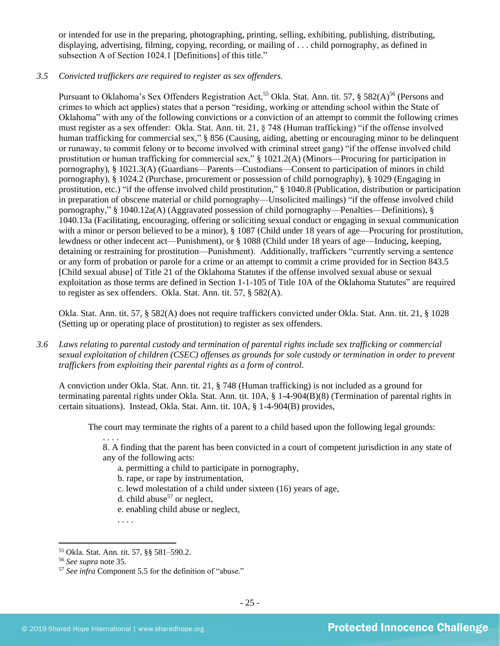or intended for use in the preparing, photographing, printing, selling, exhibiting, publishing, distributing, displaying, advertising, filming, copying, recording, or mailing of . . . child pornography, as defined in subsection A of Section 1024.1 [Definitions] of this title."

#### *3.5 Convicted traffickers are required to register as sex offenders.*

Pursuant to Oklahoma's Sex Offenders Registration Act,<sup>55</sup> Okla. Stat. Ann. tit. 57, § 582(A)<sup>56</sup> (Persons and crimes to which act applies) states that a person "residing, working or attending school within the State of Oklahoma" with any of the following convictions or a conviction of an attempt to commit the following crimes must register as a sex offender: Okla. Stat. Ann. tit. 21, § 748 (Human trafficking) "if the offense involved human trafficking for commercial sex," § 856 (Causing, aiding, abetting or encouraging minor to be delinquent or runaway, to commit felony or to become involved with criminal street gang) "if the offense involved child prostitution or human trafficking for commercial sex," § 1021.2(A) (Minors—Procuring for participation in pornography), § 1021.3(A) (Guardians—Parents—Custodians—Consent to participation of minors in child pornography), § 1024.2 (Purchase, procurement or possession of child pornography), § 1029 (Engaging in prostitution, etc.) "if the offense involved child prostitution," § 1040.8 (Publication, distribution or participation in preparation of obscene material or child pornography—Unsolicited mailings) "if the offense involved child pornography," § 1040.12a(A) (Aggravated possession of child pornography—Penalties—Definitions), § 1040.13a (Facilitating, encouraging, offering or soliciting sexual conduct or engaging in sexual communication with a minor or person believed to be a minor),  $\S 1087$  (Child under 18 years of age—Procuring for prostitution, lewdness or other indecent act—Punishment), or § 1088 (Child under 18 years of age—Inducing, keeping, detaining or restraining for prostitution—Punishment). Additionally, traffickers "currently serving a sentence or any form of probation or parole for a crime or an attempt to commit a crime provided for in Section 843.5 [Child sexual abuse] of Title 21 of the Oklahoma Statutes if the offense involved sexual abuse or sexual exploitation as those terms are defined in Section 1-1-105 of Title 10A of the Oklahoma Statutes" are required to register as sex offenders. Okla. Stat. Ann. tit. 57, § 582(A).

Okla. Stat. Ann. tit. 57, § 582(A) does not require traffickers convicted under Okla. Stat. Ann. tit. 21, § 1028 (Setting up or operating place of prostitution) to register as sex offenders.

*3.6 Laws relating to parental custody and termination of parental rights include sex trafficking or commercial sexual exploitation of children (CSEC) offenses as grounds for sole custody or termination in order to prevent traffickers from exploiting their parental rights as a form of control.* 

A conviction under Okla. Stat. Ann. tit. 21, § 748 (Human trafficking) is not included as a ground for terminating parental rights under Okla. Stat. Ann. tit. 10A, § 1-4-904(B)(8) (Termination of parental rights in certain situations). Instead, Okla. Stat. Ann. tit. 10A, § 1-4-904(B) provides,

The court may terminate the rights of a parent to a child based upon the following legal grounds:

. . . .

8. A finding that the parent has been convicted in a court of competent jurisdiction in any state of any of the following acts:

- a. permitting a child to participate in pornography,
- b. rape, or rape by instrumentation,
- c. lewd molestation of a child under sixteen (16) years of age,
- d. child abuse<sup>57</sup> or neglect,
- e. enabling child abuse or neglect,

<sup>55</sup> Okla. Stat. Ann. tit. 57, §§ 581–590.2.

<sup>56</sup> *See supra* note [35.](#page-17-0)

<sup>57</sup> *See infra* Component 5.5 for the definition of "abuse."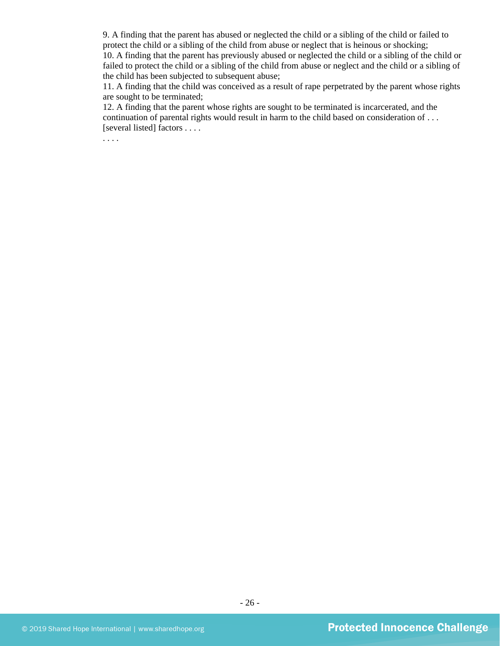9. A finding that the parent has abused or neglected the child or a sibling of the child or failed to protect the child or a sibling of the child from abuse or neglect that is heinous or shocking; 10. A finding that the parent has previously abused or neglected the child or a sibling of the child or

failed to protect the child or a sibling of the child from abuse or neglect and the child or a sibling of the child has been subjected to subsequent abuse;

11. A finding that the child was conceived as a result of rape perpetrated by the parent whose rights are sought to be terminated;

12. A finding that the parent whose rights are sought to be terminated is incarcerated, and the continuation of parental rights would result in harm to the child based on consideration of . . . [several listed] factors . . . .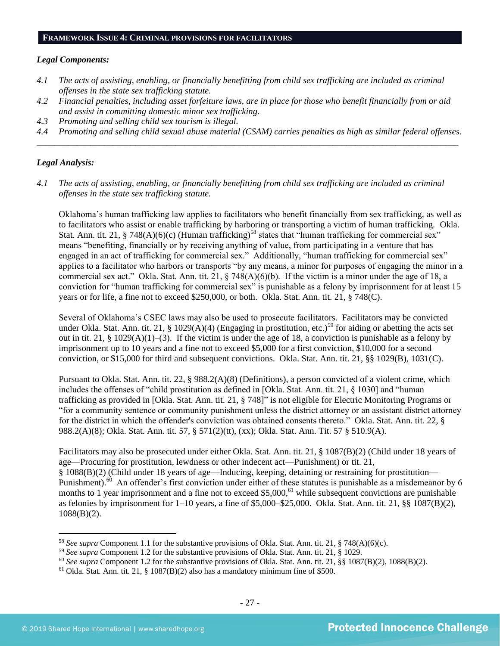#### **FRAMEWORK ISSUE 4: CRIMINAL PROVISIONS FOR FACILITATORS**

#### *Legal Components:*

- *4.1 The acts of assisting, enabling, or financially benefitting from child sex trafficking are included as criminal offenses in the state sex trafficking statute.*
- *4.2 Financial penalties, including asset forfeiture laws, are in place for those who benefit financially from or aid and assist in committing domestic minor sex trafficking.*
- *4.3 Promoting and selling child sex tourism is illegal.*
- *4.4 Promoting and selling child sexual abuse material (CSAM) carries penalties as high as similar federal offenses. \_\_\_\_\_\_\_\_\_\_\_\_\_\_\_\_\_\_\_\_\_\_\_\_\_\_\_\_\_\_\_\_\_\_\_\_\_\_\_\_\_\_\_\_\_\_\_\_\_\_\_\_\_\_\_\_\_\_\_\_\_\_\_\_\_\_\_\_\_\_\_\_\_\_\_\_\_\_\_\_\_\_\_\_\_\_\_\_\_\_\_\_\_\_*

## *Legal Analysis:*

*4.1 The acts of assisting, enabling, or financially benefitting from child sex trafficking are included as criminal offenses in the state sex trafficking statute.*

Oklahoma's human trafficking law applies to facilitators who benefit financially from sex trafficking, as well as to facilitators who assist or enable trafficking by harboring or transporting a victim of human trafficking. Okla. Stat. Ann. tit. 21, § 748(A)(6)(c) (Human trafficking)<sup>58</sup> states that "human trafficking for commercial sex" means "benefiting, financially or by receiving anything of value, from participating in a venture that has engaged in an act of trafficking for commercial sex." Additionally, "human trafficking for commercial sex" applies to a facilitator who harbors or transports "by any means, a minor for purposes of engaging the minor in a commercial sex act." Okla. Stat. Ann. tit. 21, § 748(A)(6)(b). If the victim is a minor under the age of 18, a conviction for "human trafficking for commercial sex" is punishable as a felony by imprisonment for at least 15 years or for life, a fine not to exceed \$250,000, or both. Okla. Stat. Ann. tit. 21, § 748(C).

Several of Oklahoma's CSEC laws may also be used to prosecute facilitators. Facilitators may be convicted under Okla. Stat. Ann. tit. 21, § 1029(A)(4) (Engaging in prostitution, etc.)<sup>59</sup> for aiding or abetting the acts set out in tit. 21, § 1029(A)(1)–(3). If the victim is under the age of 18, a conviction is punishable as a felony by imprisonment up to 10 years and a fine not to exceed \$5,000 for a first conviction, \$10,000 for a second conviction, or \$15,000 for third and subsequent convictions. Okla. Stat. Ann. tit. 21, §§ 1029(B), 1031(C).

Pursuant to Okla. Stat. Ann. tit. 22, § 988.2(A)(8) (Definitions), a person convicted of a violent crime, which includes the offenses of "child prostitution as defined in [Okla. Stat. Ann. tit. 21, § 1030] and "human trafficking as provided in [Okla. Stat. Ann. tit. 21, § 748]" is not eligible for Electric Monitoring Programs or "for a community sentence or community punishment unless the district attorney or an assistant district attorney for the district in which the offender's conviction was obtained consents thereto." Okla. Stat. Ann. tit. 22, § 988.2(A)(8); Okla. Stat. Ann. tit. 57, § 571(2)(tt), (xx); Okla. Stat. Ann. Tit. 57 § 510.9(A).

Facilitators may also be prosecuted under either Okla. Stat. Ann. tit. 21, § 1087(B)(2) (Child under 18 years of age—Procuring for prostitution, lewdness or other indecent act—Punishment) or tit. 21, § 1088(B)(2) (Child under 18 years of age—Inducing, keeping, detaining or restraining for prostitution— Punishment).<sup>60</sup> An offender's first conviction under either of these statutes is punishable as a misdemeanor by 6 months to 1 year imprisonment and a fine not to exceed  $$5,000$ ,<sup>61</sup> while subsequent convictions are punishable as felonies by imprisonment for 1–10 years, a fine of \$5,000–\$25,000. Okla. Stat. Ann. tit. 21, §§ 1087(B)(2), 1088(B)(2).

<sup>58</sup> *See supra* Component 1.1 for the substantive provisions of Okla. Stat. Ann. tit. 21, § 748(A)(6)(c).

<sup>59</sup> *See supra* Component 1.2 for the substantive provisions of Okla. Stat. Ann. tit. 21, § 1029.

<sup>60</sup> *See supra* Component 1.2 for the substantive provisions of Okla. Stat. Ann. tit. 21, §§ 1087(B)(2), 1088(B)(2).

 $61$  Okla. Stat. Ann. tit. 21, § 1087(B)(2) also has a mandatory minimum fine of \$500.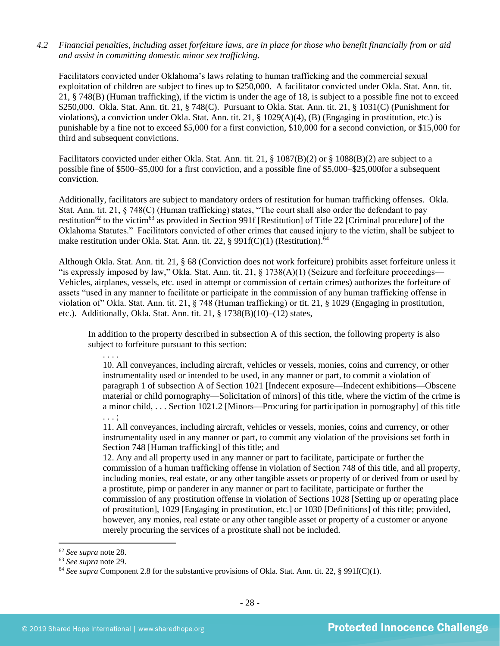#### *4.2 Financial penalties, including asset forfeiture laws, are in place for those who benefit financially from or aid and assist in committing domestic minor sex trafficking.*

Facilitators convicted under Oklahoma's laws relating to human trafficking and the commercial sexual exploitation of children are subject to fines up to \$250,000. A facilitator convicted under Okla. Stat. Ann. tit. 21, § 748(B) (Human trafficking), if the victim is under the age of 18, is subject to a possible fine not to exceed \$250,000. Okla. Stat. Ann. tit. 21, § 748(C). Pursuant to Okla. Stat. Ann. tit. 21, § 1031(C) (Punishment for violations), a conviction under Okla. Stat. Ann. tit. 21, § 1029(A)(4), (B) (Engaging in prostitution, etc.) is punishable by a fine not to exceed \$5,000 for a first conviction, \$10,000 for a second conviction, or \$15,000 for third and subsequent convictions.

Facilitators convicted under either Okla. Stat. Ann. tit. 21, § 1087(B)(2) or § 1088(B)(2) are subject to a possible fine of \$500–\$5,000 for a first conviction, and a possible fine of \$5,000–\$25,000for a subsequent conviction.

Additionally, facilitators are subject to mandatory orders of restitution for human trafficking offenses. Okla. Stat. Ann. tit. 21, § 748(C) (Human trafficking) states, "The court shall also order the defendant to pay restitution<sup>62</sup> to the victim<sup>63</sup> as provided in Section 991f [Restitution] of Title 22 [Criminal procedure] of the Oklahoma Statutes." Facilitators convicted of other crimes that caused injury to the victim, shall be subject to make restitution under Okla. Stat. Ann. tit. 22, § 991f(C)(1) (Restitution).<sup>64</sup>

Although Okla. Stat. Ann. tit. 21, § 68 (Conviction does not work forfeiture) prohibits asset forfeiture unless it "is expressly imposed by law," Okla. Stat. Ann. tit. 21, § 1738(A)(1) (Seizure and forfeiture proceedings— Vehicles, airplanes, vessels, etc. used in attempt or commission of certain crimes) authorizes the forfeiture of assets "used in any manner to facilitate or participate in the commission of any human trafficking offense in violation of" Okla. Stat. Ann. tit. 21, § 748 (Human trafficking) or tit. 21, § 1029 (Engaging in prostitution, etc.). Additionally, Okla. Stat. Ann. tit. 21, § 1738(B)(10)–(12) states,

In addition to the property described in subsection A of this section, the following property is also subject to forfeiture pursuant to this section:

. . . . 10. All conveyances, including aircraft, vehicles or vessels, monies, coins and currency, or other instrumentality used or intended to be used, in any manner or part, to commit a violation of paragraph 1 of subsection A of Section 1021 [Indecent exposure—Indecent exhibitions—Obscene material or child pornography—Solicitation of minors] of this title, where the victim of the crime is a minor child, . . . Section 1021.2 [Minors—Procuring for participation in pornography] of this title . . . ;

11. All conveyances, including aircraft, vehicles or vessels, monies, coins and currency, or other instrumentality used in any manner or part, to commit any violation of the provisions set forth in Section 748 [Human trafficking] of this title; and

12. Any and all property used in any manner or part to facilitate, participate or further the commission of a human trafficking offense in violation of Section 748 of this title, and all property, including monies, real estate, or any other tangible assets or property of or derived from or used by a prostitute, pimp or panderer in any manner or part to facilitate, participate or further the commission of any prostitution offense in violation of Sections 1028 [Setting up or operating place of prostitution], 1029 [Engaging in prostitution, etc.] or 1030 [Definitions] of this title; provided, however, any monies, real estate or any other tangible asset or property of a customer or anyone merely procuring the services of a prostitute shall not be included.

<sup>62</sup> *See supra* note [28.](#page-15-0) 

<sup>63</sup> *See supra* note [29.](#page-15-1) 

<sup>64</sup> *See supra* Component 2.8 for the substantive provisions of Okla. Stat. Ann. tit. 22, § 991f(C)(1).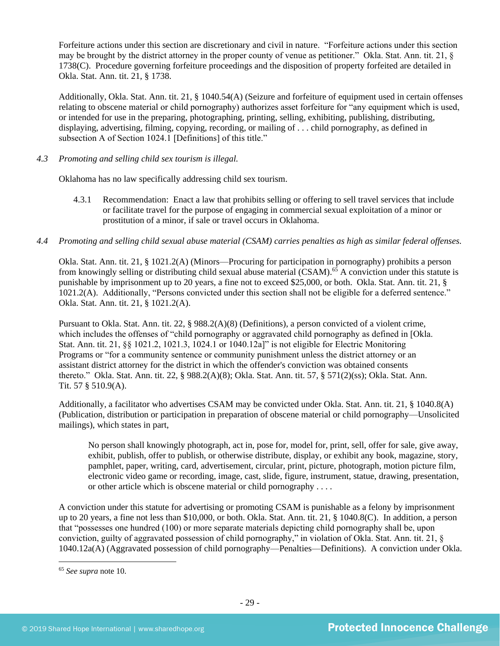Forfeiture actions under this section are discretionary and civil in nature. "Forfeiture actions under this section may be brought by the district attorney in the proper county of venue as petitioner." Okla. Stat. Ann. tit. 21, § 1738(C). Procedure governing forfeiture proceedings and the disposition of property forfeited are detailed in Okla. Stat. Ann. tit. 21, § 1738.

Additionally, Okla. Stat. Ann. tit. 21, § 1040.54(A) (Seizure and forfeiture of equipment used in certain offenses relating to obscene material or child pornography) authorizes asset forfeiture for "any equipment which is used, or intended for use in the preparing, photographing, printing, selling, exhibiting, publishing, distributing, displaying, advertising, filming, copying, recording, or mailing of . . . child pornography, as defined in subsection A of Section 1024.1 [Definitions] of this title."

## *4.3 Promoting and selling child sex tourism is illegal.*

Oklahoma has no law specifically addressing child sex tourism.

- 4.3.1 Recommendation: Enact a law that prohibits selling or offering to sell travel services that include or facilitate travel for the purpose of engaging in commercial sexual exploitation of a minor or prostitution of a minor, if sale or travel occurs in Oklahoma.
- *4.4 Promoting and selling child sexual abuse material (CSAM) carries penalties as high as similar federal offenses.*

Okla. Stat. Ann. tit. 21, § 1021.2(A) (Minors—Procuring for participation in pornography) prohibits a person from knowingly selling or distributing child sexual abuse material (CSAM).<sup>65</sup> A conviction under this statute is punishable by imprisonment up to 20 years, a fine not to exceed \$25,000, or both. Okla. Stat. Ann. tit. 21, § 1021.2(A). Additionally, "Persons convicted under this section shall not be eligible for a deferred sentence." Okla. Stat. Ann. tit. 21, § 1021.2(A).

Pursuant to Okla. Stat. Ann. tit. 22, § 988.2(A)(8) (Definitions), a person convicted of a violent crime, which includes the offenses of "child pornography or aggravated child pornography as defined in [Okla. Stat. Ann. tit. 21, §§ 1021.2, 1021.3, 1024.1 or 1040.12a]" is not eligible for Electric Monitoring Programs or "for a community sentence or community punishment unless the district attorney or an assistant district attorney for the district in which the offender's conviction was obtained consents thereto." Okla. Stat. Ann. tit. 22, § 988.2(A)(8); Okla. Stat. Ann. tit. 57, § 571(2)(ss); Okla. Stat. Ann. Tit. 57 § 510.9(A).

Additionally, a facilitator who advertises CSAM may be convicted under Okla. Stat. Ann. tit. 21, § 1040.8(A) (Publication, distribution or participation in preparation of obscene material or child pornography—Unsolicited mailings), which states in part,

No person shall knowingly photograph, act in, pose for, model for, print, sell, offer for sale, give away, exhibit, publish, offer to publish, or otherwise distribute, display, or exhibit any book, magazine, story, pamphlet, paper, writing, card, advertisement, circular, print, picture, photograph, motion picture film, electronic video game or recording, image, cast, slide, figure, instrument, statue, drawing, presentation, or other article which is obscene material or child pornography . . . .

A conviction under this statute for advertising or promoting CSAM is punishable as a felony by imprisonment up to 20 years, a fine not less than \$10,000, or both. Okla. Stat. Ann. tit. 21, § 1040.8(C). In addition, a person that "possesses one hundred (100) or more separate materials depicting child pornography shall be, upon conviction, guilty of aggravated possession of child pornography," in violation of Okla. Stat. Ann. tit. 21, § 1040.12a(A) (Aggravated possession of child pornography—Penalties—Definitions). A conviction under Okla.

<sup>65</sup> *See supra* note [10.](#page-3-0)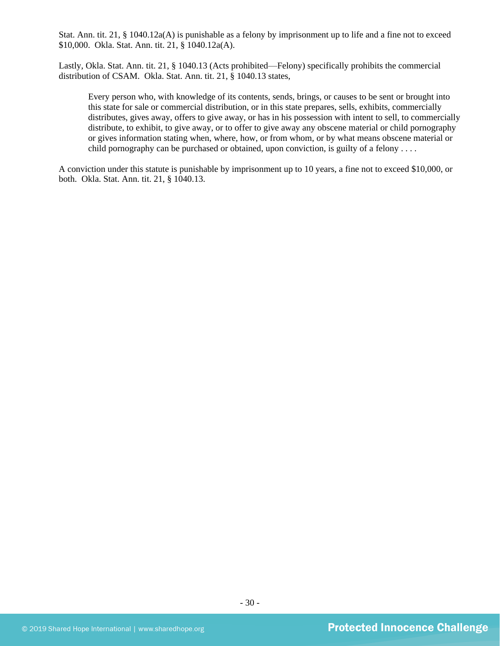Stat. Ann. tit. 21, § 1040.12a(A) is punishable as a felony by imprisonment up to life and a fine not to exceed \$10,000. Okla. Stat. Ann. tit. 21, § 1040.12a(A).

Lastly, Okla. Stat. Ann. tit. 21, § 1040.13 (Acts prohibited—Felony) specifically prohibits the commercial distribution of CSAM. Okla. Stat. Ann. tit. 21, § 1040.13 states,

Every person who, with knowledge of its contents, sends, brings, or causes to be sent or brought into this state for sale or commercial distribution, or in this state prepares, sells, exhibits, commercially distributes, gives away, offers to give away, or has in his possession with intent to sell, to commercially distribute, to exhibit, to give away, or to offer to give away any obscene material or child pornography or gives information stating when, where, how, or from whom, or by what means obscene material or child pornography can be purchased or obtained, upon conviction, is guilty of a felony ....

A conviction under this statute is punishable by imprisonment up to 10 years, a fine not to exceed \$10,000, or both. Okla. Stat. Ann. tit. 21, § 1040.13.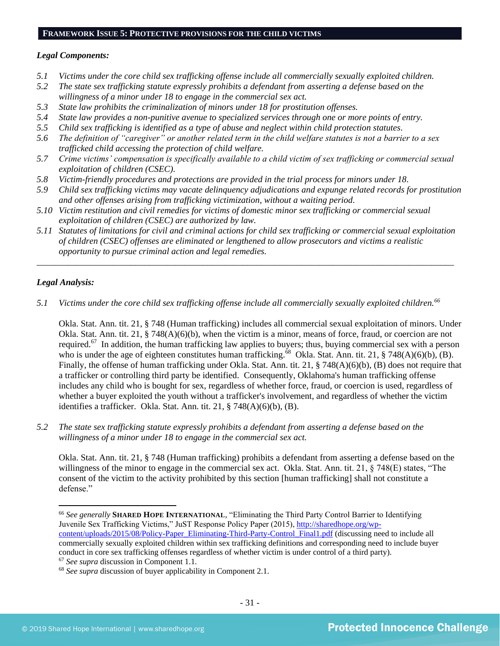## **FRAMEWORK ISSUE 5: PROTECTIVE PROVISIONS FOR THE CHILD VICTIMS**

#### *Legal Components:*

- *5.1 Victims under the core child sex trafficking offense include all commercially sexually exploited children.*
- *5.2 The state sex trafficking statute expressly prohibits a defendant from asserting a defense based on the willingness of a minor under 18 to engage in the commercial sex act.*
- *5.3 State law prohibits the criminalization of minors under 18 for prostitution offenses.*
- *5.4 State law provides a non-punitive avenue to specialized services through one or more points of entry.*
- *5.5 Child sex trafficking is identified as a type of abuse and neglect within child protection statutes.*
- *5.6 The definition of "caregiver" or another related term in the child welfare statutes is not a barrier to a sex trafficked child accessing the protection of child welfare.*
- *5.7 Crime victims' compensation is specifically available to a child victim of sex trafficking or commercial sexual exploitation of children (CSEC).*
- *5.8 Victim-friendly procedures and protections are provided in the trial process for minors under 18.*
- *5.9 Child sex trafficking victims may vacate delinquency adjudications and expunge related records for prostitution and other offenses arising from trafficking victimization, without a waiting period.*
- *5.10 Victim restitution and civil remedies for victims of domestic minor sex trafficking or commercial sexual exploitation of children (CSEC) are authorized by law.*
- *5.11 Statutes of limitations for civil and criminal actions for child sex trafficking or commercial sexual exploitation of children (CSEC) offenses are eliminated or lengthened to allow prosecutors and victims a realistic opportunity to pursue criminal action and legal remedies.*

*\_\_\_\_\_\_\_\_\_\_\_\_\_\_\_\_\_\_\_\_\_\_\_\_\_\_\_\_\_\_\_\_\_\_\_\_\_\_\_\_\_\_\_\_\_\_\_\_\_\_\_\_\_\_\_\_\_\_\_\_\_\_\_\_\_\_\_\_\_\_\_\_\_\_\_\_\_\_\_\_\_\_\_\_\_\_\_\_\_\_\_\_\_*

## *Legal Analysis:*

*5.1 Victims under the core child sex trafficking offense include all commercially sexually exploited children.<sup>66</sup>*

Okla. Stat. Ann. tit. 21, § 748 (Human trafficking) includes all commercial sexual exploitation of minors. Under Okla. Stat. Ann. tit. 21, § 748(A)(6)(b), when the victim is a minor, means of force, fraud, or coercion are not required.<sup>67</sup> In addition, the human trafficking law applies to buyers; thus, buying commercial sex with a person who is under the age of eighteen constitutes human trafficking.<sup>68</sup> Okla. Stat. Ann. tit. 21, § 748(A)(6)(b), (B). Finally, the offense of human trafficking under Okla. Stat. Ann. tit. 21, § 748(A)(6)(b), (B) does not require that a trafficker or controlling third party be identified. Consequently, Oklahoma's human trafficking offense includes any child who is bought for sex, regardless of whether force, fraud, or coercion is used, regardless of whether a buyer exploited the youth without a trafficker's involvement, and regardless of whether the victim identifies a trafficker. Okla. Stat. Ann. tit. 21, § 748(A)(6)(b), (B).

*5.2 The state sex trafficking statute expressly prohibits a defendant from asserting a defense based on the willingness of a minor under 18 to engage in the commercial sex act.*

Okla. Stat. Ann. tit. 21, § 748 (Human trafficking) prohibits a defendant from asserting a defense based on the willingness of the minor to engage in the commercial sex act. Okla. Stat. Ann. tit. 21, § 748(E) states, "The consent of the victim to the activity prohibited by this section [human trafficking] shall not constitute a defense."

<sup>66</sup> *See generally* **SHARED HOPE INTERNATIONAL**, "Eliminating the Third Party Control Barrier to Identifying Juvenile Sex Trafficking Victims," JuST Response Policy Paper (2015), [http://sharedhope.org/wp](http://sharedhope.org/wp-content/uploads/2015/08/Policy-Paper_Eliminating-Third-Party-Control_Final1.pdf)[content/uploads/2015/08/Policy-Paper\\_Eliminating-Third-Party-Control\\_Final1.pdf](http://sharedhope.org/wp-content/uploads/2015/08/Policy-Paper_Eliminating-Third-Party-Control_Final1.pdf) (discussing need to include all commercially sexually exploited children within sex trafficking definitions and corresponding need to include buyer conduct in core sex trafficking offenses regardless of whether victim is under control of a third party).

<sup>67</sup> *See supra* discussion in Component 1.1.

<sup>68</sup> *See supra* discussion of buyer applicability in Component 2.1.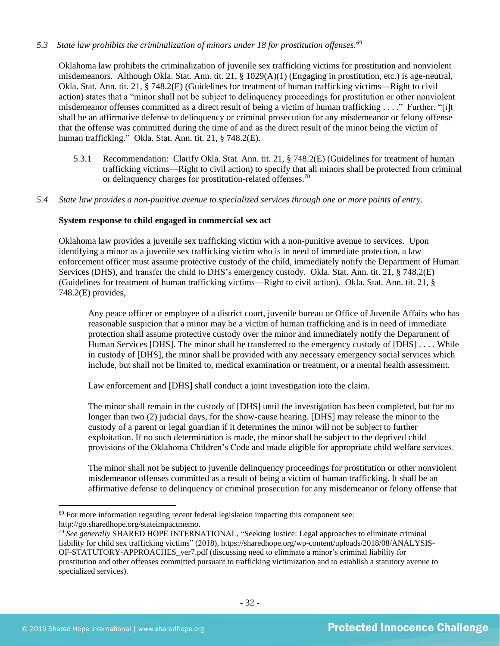## *5.3 State law prohibits the criminalization of minors under 18 for prostitution offenses.<sup>69</sup>*

Oklahoma law prohibits the criminalization of juvenile sex trafficking victims for prostitution and nonviolent misdemeanors. Although Okla. Stat. Ann. tit. 21, § 1029(A)(1) (Engaging in prostitution, etc.) is age-neutral, Okla. Stat. Ann. tit. 21, § 748.2(E) (Guidelines for treatment of human trafficking victims—Right to civil action) states that a "minor shall not be subject to delinquency proceedings for prostitution or other nonviolent misdemeanor offenses committed as a direct result of being a victim of human trafficking . . . ." Further, "[i]t shall be an affirmative defense to delinquency or criminal prosecution for any misdemeanor or felony offense that the offense was committed during the time of and as the direct result of the minor being the victim of human trafficking." Okla. Stat. Ann. tit. 21, § 748.2(E).

- 5.3.1 Recommendation: Clarify Okla. Stat. Ann. tit. 21, § 748.2(E) (Guidelines for treatment of human trafficking victims—Right to civil action) to specify that all minors shall be protected from criminal or delinquency charges for prostitution-related offenses.<sup>70</sup>
- *5.4 State law provides a non-punitive avenue to specialized services through one or more points of entry.*

#### **System response to child engaged in commercial sex act**

Oklahoma law provides a juvenile sex trafficking victim with a non-punitive avenue to services. Upon identifying a minor as a juvenile sex trafficking victim who is in need of immediate protection, a law enforcement officer must assume protective custody of the child, immediately notify the Department of Human Services (DHS), and transfer the child to DHS's emergency custody. Okla. Stat. Ann. tit. 21, § 748.2(E) (Guidelines for treatment of human trafficking victims—Right to civil action). Okla. Stat. Ann. tit. 21, § 748.2(E) provides,

Any peace officer or employee of a district court, juvenile bureau or Office of Juvenile Affairs who has reasonable suspicion that a minor may be a victim of human trafficking and is in need of immediate protection shall assume protective custody over the minor and immediately notify the Department of Human Services [DHS]. The minor shall be transferred to the emergency custody of [DHS] . . . . While in custody of [DHS], the minor shall be provided with any necessary emergency social services which include, but shall not be limited to, medical examination or treatment, or a mental health assessment.

Law enforcement and [DHS] shall conduct a joint investigation into the claim.

The minor shall remain in the custody of [DHS] until the investigation has been completed, but for no longer than two (2) judicial days, for the show-cause hearing. [DHS] may release the minor to the custody of a parent or legal guardian if it determines the minor will not be subject to further exploitation. If no such determination is made, the minor shall be subject to the deprived child provisions of the Oklahoma Children's Code and made eligible for appropriate child welfare services.

The minor shall not be subject to juvenile delinquency proceedings for prostitution or other nonviolent misdemeanor offenses committed as a result of being a victim of human trafficking. It shall be an affirmative defense to delinquency or criminal prosecution for any misdemeanor or felony offense that

 $69$  For more information regarding recent federal legislation impacting this component see: http://go.sharedhope.org/stateimpactmemo.

<sup>70</sup> *See generally* SHARED HOPE INTERNATIONAL, "Seeking Justice: Legal approaches to eliminate criminal liability for child sex trafficking victims" (2018), https://sharedhope.org/wp-content/uploads/2018/08/ANALYSIS-OF-STATUTORY-APPROACHES\_ver7.pdf (discussing need to eliminate a minor's criminal liability for prostitution and other offenses committed pursuant to trafficking victimization and to establish a statutory avenue to specialized services).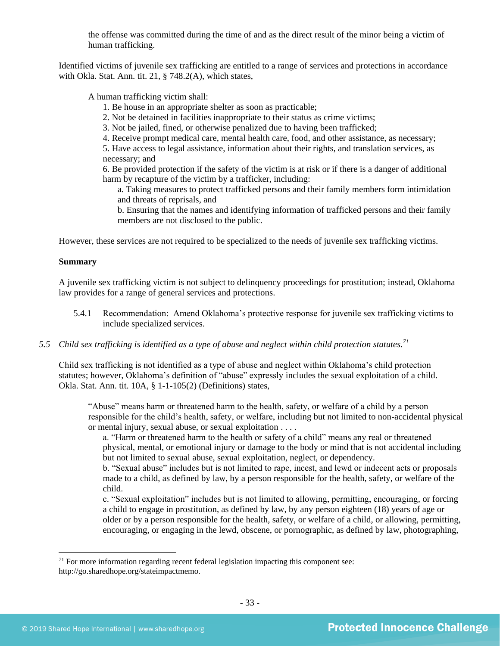the offense was committed during the time of and as the direct result of the minor being a victim of human trafficking.

Identified victims of juvenile sex trafficking are entitled to a range of services and protections in accordance with Okla. Stat. Ann. tit. 21, § 748.2(A), which states,

A human trafficking victim shall:

- 1. Be house in an appropriate shelter as soon as practicable;
- 2. Not be detained in facilities inappropriate to their status as crime victims;
- 3. Not be jailed, fined, or otherwise penalized due to having been trafficked;
- 4. Receive prompt medical care, mental health care, food, and other assistance, as necessary;

5. Have access to legal assistance, information about their rights, and translation services, as necessary; and

6. Be provided protection if the safety of the victim is at risk or if there is a danger of additional harm by recapture of the victim by a trafficker, including:

a. Taking measures to protect trafficked persons and their family members form intimidation and threats of reprisals, and

b. Ensuring that the names and identifying information of trafficked persons and their family members are not disclosed to the public.

However, these services are not required to be specialized to the needs of juvenile sex trafficking victims.

#### **Summary**

A juvenile sex trafficking victim is not subject to delinquency proceedings for prostitution; instead, Oklahoma law provides for a range of general services and protections.

- 5.4.1 Recommendation: Amend Oklahoma's protective response for juvenile sex trafficking victims to include specialized services.
- *5.5 Child sex trafficking is identified as a type of abuse and neglect within child protection statutes.<sup>71</sup>*

Child sex trafficking is not identified as a type of abuse and neglect within Oklahoma's child protection statutes; however, Oklahoma's definition of "abuse" expressly includes the sexual exploitation of a child. Okla. Stat. Ann. tit. 10A, § 1-1-105(2) (Definitions) states,

"Abuse" means harm or threatened harm to the health, safety, or welfare of a child by a person responsible for the child's health, safety, or welfare, including but not limited to non-accidental physical or mental injury, sexual abuse, or sexual exploitation . . . .

a. "Harm or threatened harm to the health or safety of a child" means any real or threatened physical, mental, or emotional injury or damage to the body or mind that is not accidental including but not limited to sexual abuse, sexual exploitation, neglect, or dependency.

b. "Sexual abuse" includes but is not limited to rape, incest, and lewd or indecent acts or proposals made to a child, as defined by law, by a person responsible for the health, safety, or welfare of the child.

c. "Sexual exploitation" includes but is not limited to allowing, permitting, encouraging, or forcing a child to engage in prostitution, as defined by law, by any person eighteen (18) years of age or older or by a person responsible for the health, safety, or welfare of a child, or allowing, permitting, encouraging, or engaging in the lewd, obscene, or pornographic, as defined by law, photographing,

 $71$  For more information regarding recent federal legislation impacting this component see: http://go.sharedhope.org/stateimpactmemo.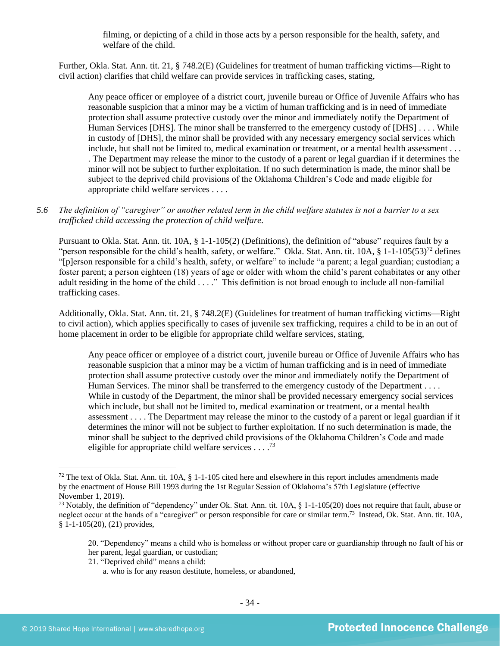filming, or depicting of a child in those acts by a person responsible for the health, safety, and welfare of the child.

Further, Okla. Stat. Ann. tit. 21, § 748.2(E) (Guidelines for treatment of human trafficking victims—Right to civil action) clarifies that child welfare can provide services in trafficking cases, stating,

Any peace officer or employee of a district court, juvenile bureau or Office of Juvenile Affairs who has reasonable suspicion that a minor may be a victim of human trafficking and is in need of immediate protection shall assume protective custody over the minor and immediately notify the Department of Human Services [DHS]. The minor shall be transferred to the emergency custody of [DHS] . . . . While in custody of [DHS], the minor shall be provided with any necessary emergency social services which include, but shall not be limited to, medical examination or treatment, or a mental health assessment . . . . The Department may release the minor to the custody of a parent or legal guardian if it determines the minor will not be subject to further exploitation. If no such determination is made, the minor shall be subject to the deprived child provisions of the Oklahoma Children's Code and made eligible for appropriate child welfare services . . . .

## *5.6 The definition of "caregiver" or another related term in the child welfare statutes is not a barrier to a sex trafficked child accessing the protection of child welfare.*

Pursuant to Okla. Stat. Ann. tit. 10A, § 1-1-105(2) (Definitions), the definition of "abuse" requires fault by a "person responsible for the child's health, safety, or welfare." Okla. Stat. Ann. tit.  $10A$ ,  $\frac{8}{9} 1 - 1 - 105(53)^{72}$  defines "[p]erson responsible for a child's health, safety, or welfare" to include "a parent; a legal guardian; custodian; a foster parent; a person eighteen (18) years of age or older with whom the child's parent cohabitates or any other adult residing in the home of the child . . . ." This definition is not broad enough to include all non-familial trafficking cases.

Additionally, Okla. Stat. Ann. tit. 21, § 748.2(E) (Guidelines for treatment of human trafficking victims—Right to civil action), which applies specifically to cases of juvenile sex trafficking, requires a child to be in an out of home placement in order to be eligible for appropriate child welfare services, stating,

Any peace officer or employee of a district court, juvenile bureau or Office of Juvenile Affairs who has reasonable suspicion that a minor may be a victim of human trafficking and is in need of immediate protection shall assume protective custody over the minor and immediately notify the Department of Human Services. The minor shall be transferred to the emergency custody of the Department . . . . While in custody of the Department, the minor shall be provided necessary emergency social services which include, but shall not be limited to, medical examination or treatment, or a mental health assessment . . . . The Department may release the minor to the custody of a parent or legal guardian if it determines the minor will not be subject to further exploitation. If no such determination is made, the minor shall be subject to the deprived child provisions of the Oklahoma Children's Code and made eligible for appropriate child welfare services  $\ldots$ <sup>73</sup>

21. "Deprived child" means a child:

 $72$  The text of Okla. Stat. Ann. tit. 10A, § 1-1-105 cited here and elsewhere in this report includes amendments made by the enactment of House Bill 1993 during the 1st Regular Session of Oklahoma's 57th Legislature (effective November 1, 2019).

<sup>&</sup>lt;sup>73</sup> Notably, the definition of "dependency" under Ok. Stat. Ann. tit.  $10A$ ,  $\S$  1-1-105(20) does not require that fault, abuse or neglect occur at the hands of a "caregiver" or person responsible for care or similar term.<sup>73</sup> Instead, Ok. Stat. Ann. tit. 10A, § 1-1-105(20), (21) provides,

<sup>20. &</sup>quot;Dependency" means a child who is homeless or without proper care or guardianship through no fault of his or her parent, legal guardian, or custodian;

a. who is for any reason destitute, homeless, or abandoned,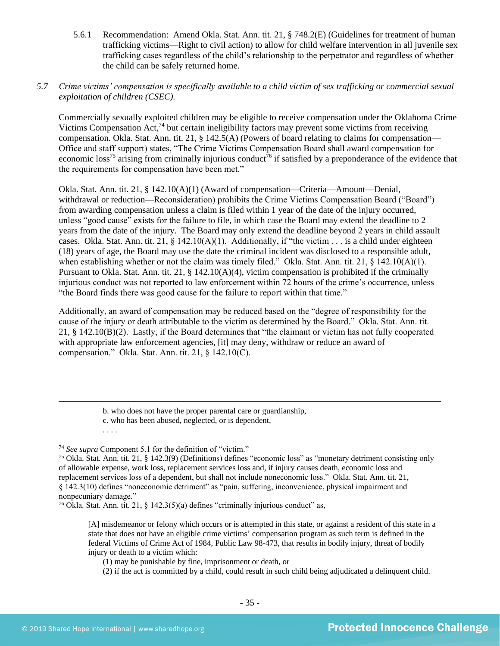5.6.1 Recommendation: Amend Okla. Stat. Ann. tit. 21, § 748.2(E) (Guidelines for treatment of human trafficking victims—Right to civil action) to allow for child welfare intervention in all juvenile sex trafficking cases regardless of the child's relationship to the perpetrator and regardless of whether the child can be safely returned home.

## *5.7 Crime victims' compensation is specifically available to a child victim of sex trafficking or commercial sexual exploitation of children (CSEC).*

Commercially sexually exploited children may be eligible to receive compensation under the Oklahoma Crime Victims Compensation Act,  $^{74}$  but certain ineligibility factors may prevent some victims from receiving compensation. Okla. Stat. Ann. tit. 21, § 142.5(A) (Powers of board relating to claims for compensation— Office and staff support) states, "The Crime Victims Compensation Board shall award compensation for economic loss<sup>75</sup> arising from criminally injurious conduct<sup>76</sup> if satisfied by a preponderance of the evidence that the requirements for compensation have been met."

Okla. Stat. Ann. tit. 21, § 142.10(A)(1) (Award of compensation—Criteria—Amount—Denial, withdrawal or reduction—Reconsideration) prohibits the Crime Victims Compensation Board ("Board") from awarding compensation unless a claim is filed within 1 year of the date of the injury occurred, unless "good cause" exists for the failure to file, in which case the Board may extend the deadline to 2 years from the date of the injury. The Board may only extend the deadline beyond 2 years in child assault cases. Okla. Stat. Ann. tit. 21, § 142.10(A)(1). Additionally, if "the victim . . . is a child under eighteen (18) years of age, the Board may use the date the criminal incident was disclosed to a responsible adult, when establishing whether or not the claim was timely filed." Okla. Stat. Ann. tit. 21, § 142.10(A)(1). Pursuant to Okla. Stat. Ann. tit. 21, § 142.10(A)(4), victim compensation is prohibited if the criminally injurious conduct was not reported to law enforcement within 72 hours of the crime's occurrence, unless "the Board finds there was good cause for the failure to report within that time."

Additionally, an award of compensation may be reduced based on the "degree of responsibility for the cause of the injury or death attributable to the victim as determined by the Board." Okla. Stat. Ann. tit. 21, § 142.10(B)(2). Lastly, if the Board determines that "the claimant or victim has not fully cooperated with appropriate law enforcement agencies, [it] may deny, withdraw or reduce an award of compensation." Okla. Stat. Ann. tit. 21, § 142.10(C).

<sup>76</sup> Okla. Stat. Ann. tit. 21, § 142.3(5)(a) defines "criminally injurious conduct" as,

[A] misdemeanor or felony which occurs or is attempted in this state, or against a resident of this state in a state that does not have an eligible crime victims' compensation program as such term is defined in the federal Victims of Crime Act of 1984, Public Law 98-473, that results in bodily injury, threat of bodily injury or death to a victim which:

(1) may be punishable by fine, imprisonment or death, or

(2) if the act is committed by a child, could result in such child being adjudicated a delinquent child.

b. who does not have the proper parental care or guardianship,

c. who has been abused, neglected, or is dependent,

<sup>. . . .</sup>

<sup>74</sup> *See supra* Component 5.1 for the definition of "victim."

<sup>75</sup> Okla. Stat. Ann. tit. 21, § 142.3(9) (Definitions) defines "economic loss" as "monetary detriment consisting only of allowable expense, work loss, replacement services loss and, if injury causes death, economic loss and replacement services loss of a dependent, but shall not include noneconomic loss." Okla. Stat. Ann. tit. 21, § 142.3(10) defines "noneconomic detriment" as "pain, suffering, inconvenience, physical impairment and nonpecuniary damage."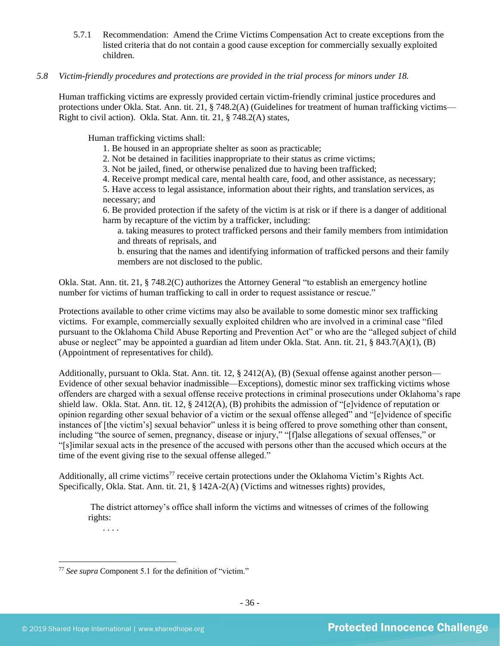- 5.7.1 Recommendation: Amend the Crime Victims Compensation Act to create exceptions from the listed criteria that do not contain a good cause exception for commercially sexually exploited children.
- *5.8 Victim-friendly procedures and protections are provided in the trial process for minors under 18.*

Human trafficking victims are expressly provided certain victim-friendly criminal justice procedures and protections under Okla. Stat. Ann. tit. 21, § 748.2(A) (Guidelines for treatment of human trafficking victims— Right to civil action). Okla. Stat. Ann. tit. 21, § 748.2(A) states,

Human trafficking victims shall:

- 1. Be housed in an appropriate shelter as soon as practicable;
- 2. Not be detained in facilities inappropriate to their status as crime victims;
- 3. Not be jailed, fined, or otherwise penalized due to having been trafficked;
- 4. Receive prompt medical care, mental health care, food, and other assistance, as necessary;

5. Have access to legal assistance, information about their rights, and translation services, as necessary; and

6. Be provided protection if the safety of the victim is at risk or if there is a danger of additional harm by recapture of the victim by a trafficker, including:

a. taking measures to protect trafficked persons and their family members from intimidation and threats of reprisals, and

b. ensuring that the names and identifying information of trafficked persons and their family members are not disclosed to the public.

Okla. Stat. Ann. tit. 21, § 748.2(C) authorizes the Attorney General "to establish an emergency hotline number for victims of human trafficking to call in order to request assistance or rescue."

Protections available to other crime victims may also be available to some domestic minor sex trafficking victims. For example, commercially sexually exploited children who are involved in a criminal case "filed pursuant to the Oklahoma Child Abuse Reporting and Prevention Act" or who are the "alleged subject of child abuse or neglect" may be appointed a guardian ad litem under Okla. Stat. Ann. tit. 21, § 843.7(A)(1), (B) (Appointment of representatives for child).

Additionally, pursuant to Okla. Stat. Ann. tit. 12, § 2412(A), (B) (Sexual offense against another person— Evidence of other sexual behavior inadmissible—Exceptions), domestic minor sex trafficking victims whose offenders are charged with a sexual offense receive protections in criminal prosecutions under Oklahoma's rape shield law. Okla. Stat. Ann. tit. 12, § 2412(A), (B) prohibits the admission of "[e]vidence of reputation or opinion regarding other sexual behavior of a victim or the sexual offense alleged" and "[e]vidence of specific instances of [the victim's] sexual behavior" unless it is being offered to prove something other than consent, including "the source of semen, pregnancy, disease or injury," "[f]alse allegations of sexual offenses," or "[s]imilar sexual acts in the presence of the accused with persons other than the accused which occurs at the time of the event giving rise to the sexual offense alleged."

Additionally, all crime victims<sup>77</sup> receive certain protections under the Oklahoma Victim's Rights Act. Specifically, Okla. Stat. Ann. tit. 21, § 142A-2(A) (Victims and witnesses rights) provides.

The district attorney's office shall inform the victims and witnesses of crimes of the following rights:

<sup>77</sup> *See supra* Component 5.1 for the definition of "victim."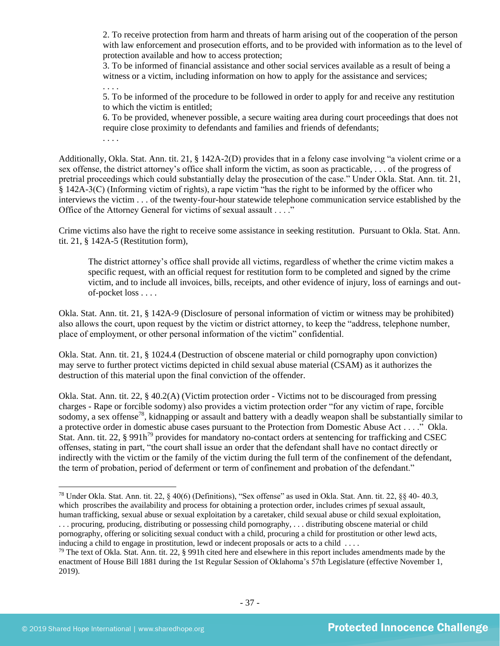2. To receive protection from harm and threats of harm arising out of the cooperation of the person with law enforcement and prosecution efforts, and to be provided with information as to the level of protection available and how to access protection;

3. To be informed of financial assistance and other social services available as a result of being a witness or a victim, including information on how to apply for the assistance and services;

5. To be informed of the procedure to be followed in order to apply for and receive any restitution to which the victim is entitled;

6. To be provided, whenever possible, a secure waiting area during court proceedings that does not require close proximity to defendants and families and friends of defendants;

. . . .

. . . .

Additionally, Okla. Stat. Ann. tit. 21, § 142A-2(D) provides that in a felony case involving "a violent crime or a sex offense, the district attorney's office shall inform the victim, as soon as practicable, . . . of the progress of pretrial proceedings which could substantially delay the prosecution of the case." Under Okla. Stat. Ann. tit. 21, § 142A-3(C) (Informing victim of rights), a rape victim "has the right to be informed by the officer who interviews the victim . . . of the twenty-four-hour statewide telephone communication service established by the Office of the Attorney General for victims of sexual assault . . . ."

Crime victims also have the right to receive some assistance in seeking restitution. Pursuant to Okla. Stat. Ann. tit. 21, § 142A-5 (Restitution form),

The district attorney's office shall provide all victims, regardless of whether the crime victim makes a specific request, with an official request for restitution form to be completed and signed by the crime victim, and to include all invoices, bills, receipts, and other evidence of injury, loss of earnings and outof-pocket loss . . . .

Okla. Stat. Ann. tit. 21, § 142A-9 (Disclosure of personal information of victim or witness may be prohibited) also allows the court, upon request by the victim or district attorney, to keep the "address, telephone number, place of employment, or other personal information of the victim" confidential.

Okla. Stat. Ann. tit. 21, § 1024.4 (Destruction of obscene material or child pornography upon conviction) may serve to further protect victims depicted in child sexual abuse material (CSAM) as it authorizes the destruction of this material upon the final conviction of the offender.

Okla. Stat. Ann. tit. 22, § 40.2(A) (Victim protection order - Victims not to be discouraged from pressing charges - Rape or forcible sodomy) also provides a victim protection order "for any victim of rape, forcible sodomy, a sex offense<sup>78</sup>, kidnapping or assault and battery with a deadly weapon shall be substantially similar to a protective order in domestic abuse cases pursuant to the Protection from Domestic Abuse Act . . . ." Okla. Stat. Ann. tit. 22, § 991h<sup>79</sup> provides for mandatory no-contact orders at sentencing for trafficking and CSEC offenses, stating in part, "the court shall issue an order that the defendant shall have no contact directly or indirectly with the victim or the family of the victim during the full term of the confinement of the defendant, the term of probation, period of deferment or term of confinement and probation of the defendant."

<sup>78</sup> Under Okla. Stat. Ann. tit. 22, § 40(6) (Definitions), "Sex offense" as used in Okla. Stat. Ann. tit. 22, §§ 40- 40.3, which proscribes the availability and process for obtaining a protection order, includes crimes pf sexual assault, human trafficking, sexual abuse or sexual exploitation by a caretaker, child sexual abuse or child sexual exploitation, . . . procuring, producing, distributing or possessing child pornography, . . . distributing obscene material or child pornography, offering or soliciting sexual conduct with a child, procuring a child for prostitution or other lewd acts,

inducing a child to engage in prostitution, lewd or indecent proposals or acts to a child . . . .

 $79$  The text of Okla. Stat. Ann. tit. 22, § 991h cited here and elsewhere in this report includes amendments made by the enactment of House Bill 1881 during the 1st Regular Session of Oklahoma's 57th Legislature (effective November 1, 2019).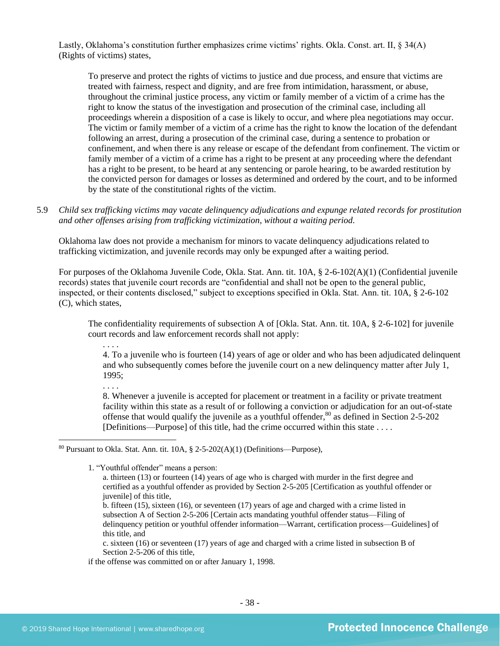Lastly, Oklahoma's constitution further emphasizes crime victims' rights. Okla. Const. art. II, § 34(A) (Rights of victims) states,

To preserve and protect the rights of victims to justice and due process, and ensure that victims are treated with fairness, respect and dignity, and are free from intimidation, harassment, or abuse, throughout the criminal justice process, any victim or family member of a victim of a crime has the right to know the status of the investigation and prosecution of the criminal case, including all proceedings wherein a disposition of a case is likely to occur, and where plea negotiations may occur. The victim or family member of a victim of a crime has the right to know the location of the defendant following an arrest, during a prosecution of the criminal case, during a sentence to probation or confinement, and when there is any release or escape of the defendant from confinement. The victim or family member of a victim of a crime has a right to be present at any proceeding where the defendant has a right to be present, to be heard at any sentencing or parole hearing, to be awarded restitution by the convicted person for damages or losses as determined and ordered by the court, and to be informed by the state of the constitutional rights of the victim.

5.9 *Child sex trafficking victims may vacate delinquency adjudications and expunge related records for prostitution and other offenses arising from trafficking victimization, without a waiting period.*

Oklahoma law does not provide a mechanism for minors to vacate delinquency adjudications related to trafficking victimization, and juvenile records may only be expunged after a waiting period.

For purposes of the Oklahoma Juvenile Code, Okla. Stat. Ann. tit. 10A, § 2-6-102(A)(1) (Confidential juvenile records) states that juvenile court records are "confidential and shall not be open to the general public, inspected, or their contents disclosed," subject to exceptions specified in Okla. Stat. Ann. tit. 10A, § 2-6-102 (C), which states,

The confidentiality requirements of subsection A of [Okla. Stat. Ann. tit. 10A, § 2-6-102] for juvenile court records and law enforcement records shall not apply:

. . . .

4. To a juvenile who is fourteen (14) years of age or older and who has been adjudicated delinquent and who subsequently comes before the juvenile court on a new delinquency matter after July 1, 1995;

. . . .

8. Whenever a juvenile is accepted for placement or treatment in a facility or private treatment facility within this state as a result of or following a conviction or adjudication for an out-of-state offense that would qualify the juvenile as a youthful offender,  $\frac{80}{10}$  as defined in Section 2-5-202 [Definitions—Purpose] of this title, had the crime occurred within this state . . . .

1. "Youthful offender" means a person:

b. fifteen (15), sixteen (16), or seventeen (17) years of age and charged with a crime listed in subsection A of Section 2-5-206 [Certain acts mandating youthful offender status—Filing of delinquency petition or youthful offender information—Warrant, certification process—Guidelines] of this title, and

c. sixteen (16) or seventeen (17) years of age and charged with a crime listed in subsection B of Section 2-5-206 of this title,

if the offense was committed on or after January 1, 1998.

<sup>&</sup>lt;sup>80</sup> Pursuant to Okla. Stat. Ann. tit. 10A,  $\S$  2-5-202(A)(1) (Definitions—Purpose),

a. thirteen (13) or fourteen (14) years of age who is charged with murder in the first degree and certified as a youthful offender as provided by Section 2-5-205 [Certification as youthful offender or juvenile] of this title,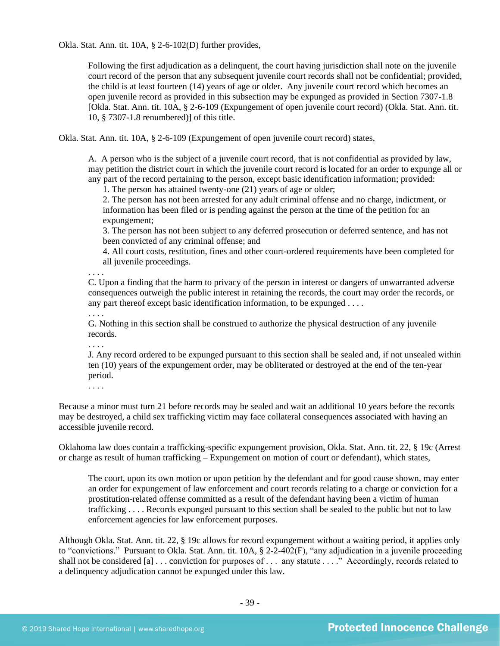Okla. Stat. Ann. tit. 10A, § 2-6-102(D) further provides,

Following the first adjudication as a delinquent, the court having jurisdiction shall note on the juvenile court record of the person that any subsequent juvenile court records shall not be confidential; provided, the child is at least fourteen (14) years of age or older. Any juvenile court record which becomes an open juvenile record as provided in this subsection may be expunged as provided in Section 7307-1.8 [Okla. Stat. Ann. tit. 10A, § 2-6-109 (Expungement of open juvenile court record) (Okla. Stat. Ann. tit. 10, § 7307-1.8 renumbered)] of this title.

Okla. Stat. Ann. tit. 10A, § 2-6-109 (Expungement of open juvenile court record) states,

A. A person who is the subject of a juvenile court record, that is not confidential as provided by law, may petition the district court in which the juvenile court record is located for an order to expunge all or any part of the record pertaining to the person, except basic identification information; provided:

1. The person has attained twenty-one (21) years of age or older;

2. The person has not been arrested for any adult criminal offense and no charge, indictment, or information has been filed or is pending against the person at the time of the petition for an expungement;

3. The person has not been subject to any deferred prosecution or deferred sentence, and has not been convicted of any criminal offense; and

4. All court costs, restitution, fines and other court-ordered requirements have been completed for all juvenile proceedings.

. . . . C. Upon a finding that the harm to privacy of the person in interest or dangers of unwarranted adverse consequences outweigh the public interest in retaining the records, the court may order the records, or any part thereof except basic identification information, to be expunged . . . .

G. Nothing in this section shall be construed to authorize the physical destruction of any juvenile records.

J. Any record ordered to be expunged pursuant to this section shall be sealed and, if not unsealed within ten (10) years of the expungement order, may be obliterated or destroyed at the end of the ten-year period.

. . . .

. . . .

. . . .

Because a minor must turn 21 before records may be sealed and wait an additional 10 years before the records may be destroyed, a child sex trafficking victim may face collateral consequences associated with having an accessible juvenile record.

Oklahoma law does contain a trafficking-specific expungement provision, Okla. Stat. Ann. tit. 22, § 19c (Arrest or charge as result of human trafficking – Expungement on motion of court or defendant), which states,

The court, upon its own motion or upon petition by the defendant and for good cause shown, may enter an order for expungement of law enforcement and court records relating to a charge or conviction for a prostitution-related offense committed as a result of the defendant having been a victim of human trafficking . . . . Records expunged pursuant to this section shall be sealed to the public but not to law enforcement agencies for law enforcement purposes.

Although Okla. Stat. Ann. tit. 22, § 19c allows for record expungement without a waiting period, it applies only to "convictions." Pursuant to Okla. Stat. Ann. tit. 10A, § 2-2-402(F), "any adjudication in a juvenile proceeding shall not be considered [a] ... conviction for purposes of ... any statute ...." Accordingly, records related to a delinquency adjudication cannot be expunged under this law.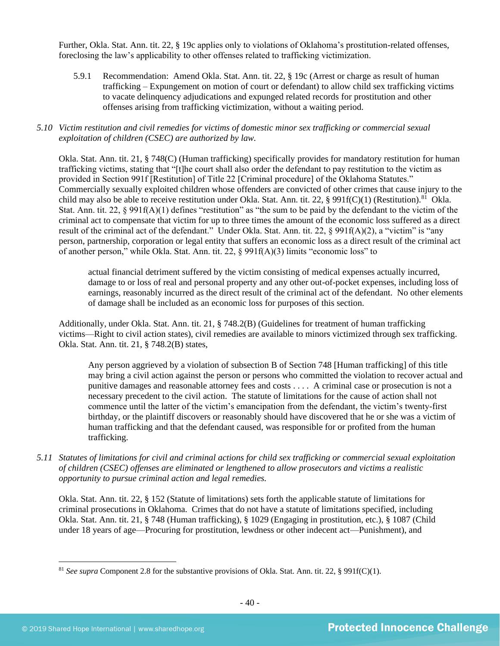Further, Okla. Stat. Ann. tit. 22, § 19c applies only to violations of Oklahoma's prostitution-related offenses, foreclosing the law's applicability to other offenses related to trafficking victimization.

5.9.1 Recommendation: Amend Okla. Stat. Ann. tit. 22, § 19c (Arrest or charge as result of human trafficking – Expungement on motion of court or defendant) to allow child sex trafficking victims to vacate delinquency adjudications and expunged related records for prostitution and other offenses arising from trafficking victimization, without a waiting period.

## *5.10 Victim restitution and civil remedies for victims of domestic minor sex trafficking or commercial sexual exploitation of children (CSEC) are authorized by law.*

Okla. Stat. Ann. tit. 21, § 748(C) (Human trafficking) specifically provides for mandatory restitution for human trafficking victims, stating that "[t]he court shall also order the defendant to pay restitution to the victim as provided in Section 991f [Restitution] of Title 22 [Criminal procedure] of the Oklahoma Statutes." Commercially sexually exploited children whose offenders are convicted of other crimes that cause injury to the child may also be able to receive restitution under Okla. Stat. Ann. tit. 22, § 991f(C)(1) (Restitution).<sup>81</sup> Okla. Stat. Ann. tit. 22,  $\S$  991f(A)(1) defines "restitution" as "the sum to be paid by the defendant to the victim of the criminal act to compensate that victim for up to three times the amount of the economic loss suffered as a direct result of the criminal act of the defendant." Under Okla. Stat. Ann. tit. 22, § 991f(A)(2), a "victim" is "any person, partnership, corporation or legal entity that suffers an economic loss as a direct result of the criminal act of another person," while Okla. Stat. Ann. tit. 22, § 991f(A)(3) limits "economic loss" to

actual financial detriment suffered by the victim consisting of medical expenses actually incurred, damage to or loss of real and personal property and any other out-of-pocket expenses, including loss of earnings, reasonably incurred as the direct result of the criminal act of the defendant. No other elements of damage shall be included as an economic loss for purposes of this section.

Additionally, under Okla. Stat. Ann. tit. 21, § 748.2(B) (Guidelines for treatment of human trafficking victims—Right to civil action states), civil remedies are available to minors victimized through sex trafficking. Okla. Stat. Ann. tit. 21, § 748.2(B) states,

Any person aggrieved by a violation of subsection B of Section 748 [Human trafficking] of this title may bring a civil action against the person or persons who committed the violation to recover actual and punitive damages and reasonable attorney fees and costs . . . . A criminal case or prosecution is not a necessary precedent to the civil action. The statute of limitations for the cause of action shall not commence until the latter of the victim's emancipation from the defendant, the victim's twenty-first birthday, or the plaintiff discovers or reasonably should have discovered that he or she was a victim of human trafficking and that the defendant caused, was responsible for or profited from the human trafficking.

*5.11 Statutes of limitations for civil and criminal actions for child sex trafficking or commercial sexual exploitation of children (CSEC) offenses are eliminated or lengthened to allow prosecutors and victims a realistic opportunity to pursue criminal action and legal remedies.*

Okla. Stat. Ann. tit. 22, § 152 (Statute of limitations) sets forth the applicable statute of limitations for criminal prosecutions in Oklahoma. Crimes that do not have a statute of limitations specified, including Okla. Stat. Ann. tit. 21, § 748 (Human trafficking), § 1029 (Engaging in prostitution, etc.), § 1087 (Child under 18 years of age—Procuring for prostitution, lewdness or other indecent act—Punishment), and

<sup>81</sup> *See supra* Component 2.8 for the substantive provisions of Okla. Stat. Ann. tit. 22, § 991f(C)(1).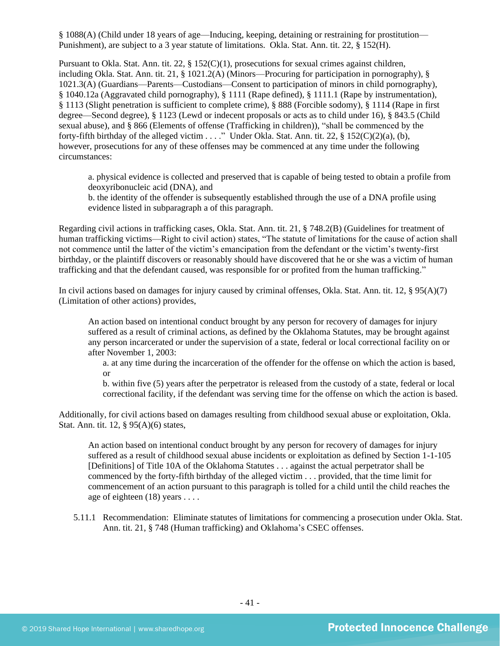§ 1088(A) (Child under 18 years of age—Inducing, keeping, detaining or restraining for prostitution— Punishment), are subject to a 3 year statute of limitations. Okla. Stat. Ann. tit. 22, § 152(H).

Pursuant to Okla. Stat. Ann. tit. 22, § 152(C)(1), prosecutions for sexual crimes against children, including Okla. Stat. Ann. tit. 21, § 1021.2(A) (Minors—Procuring for participation in pornography), § 1021.3(A) (Guardians—Parents—Custodians—Consent to participation of minors in child pornography), § 1040.12a (Aggravated child pornography), § 1111 (Rape defined), § 1111.1 (Rape by instrumentation), § 1113 (Slight penetration is sufficient to complete crime), § 888 (Forcible sodomy), § 1114 (Rape in first degree—Second degree), § 1123 (Lewd or indecent proposals or acts as to child under 16), § 843.5 (Child sexual abuse), and § 866 (Elements of offense (Trafficking in children)), "shall be commenced by the forty-fifth birthday of the alleged victim . . . ." Under Okla. Stat. Ann. tit. 22, § 152(C)(2)(a), (b), however, prosecutions for any of these offenses may be commenced at any time under the following circumstances:

a. physical evidence is collected and preserved that is capable of being tested to obtain a profile from deoxyribonucleic acid (DNA), and

b. the identity of the offender is subsequently established through the use of a DNA profile using evidence listed in subparagraph a of this paragraph.

Regarding civil actions in trafficking cases, Okla. Stat. Ann. tit. 21, § 748.2(B) (Guidelines for treatment of human trafficking victims—Right to civil action) states, "The statute of limitations for the cause of action shall not commence until the latter of the victim's emancipation from the defendant or the victim's twenty-first birthday, or the plaintiff discovers or reasonably should have discovered that he or she was a victim of human trafficking and that the defendant caused, was responsible for or profited from the human trafficking."

In civil actions based on damages for injury caused by criminal offenses, Okla. Stat. Ann. tit. 12, § 95(A)(7) (Limitation of other actions) provides,

An action based on intentional conduct brought by any person for recovery of damages for injury suffered as a result of criminal actions, as defined by the Oklahoma Statutes, may be brought against any person incarcerated or under the supervision of a state, federal or local correctional facility on or after November 1, 2003:

a. at any time during the incarceration of the offender for the offense on which the action is based, or

b. within five (5) years after the perpetrator is released from the custody of a state, federal or local correctional facility, if the defendant was serving time for the offense on which the action is based.

Additionally, for civil actions based on damages resulting from childhood sexual abuse or exploitation, Okla. Stat. Ann. tit. 12, § 95(A)(6) states,

An action based on intentional conduct brought by any person for recovery of damages for injury suffered as a result of childhood sexual abuse incidents or exploitation as defined by Section 1-1-105 [Definitions] of Title 10A of the Oklahoma Statutes . . . against the actual perpetrator shall be commenced by the forty-fifth birthday of the alleged victim . . . provided, that the time limit for commencement of an action pursuant to this paragraph is tolled for a child until the child reaches the age of eighteen (18) years . . . .

5.11.1 Recommendation: Eliminate statutes of limitations for commencing a prosecution under Okla. Stat. Ann. tit. 21, § 748 (Human trafficking) and Oklahoma's CSEC offenses.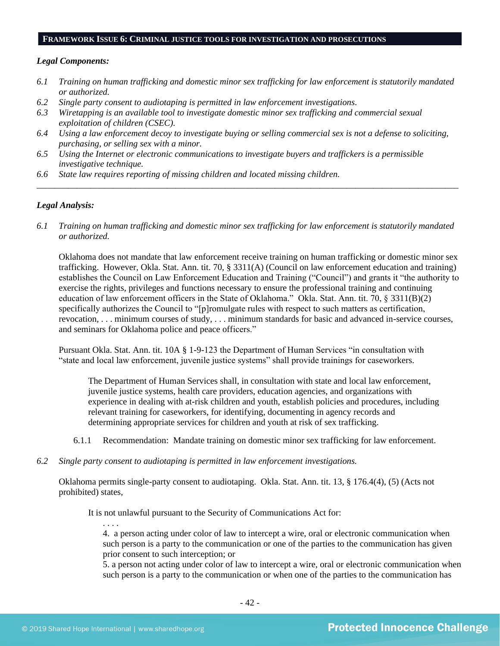#### **FRAMEWORK ISSUE 6: CRIMINAL JUSTICE TOOLS FOR INVESTIGATION AND PROSECUTIONS**

#### *Legal Components:*

- *6.1 Training on human trafficking and domestic minor sex trafficking for law enforcement is statutorily mandated or authorized.*
- *6.2 Single party consent to audiotaping is permitted in law enforcement investigations.*
- *6.3 Wiretapping is an available tool to investigate domestic minor sex trafficking and commercial sexual exploitation of children (CSEC).*
- *6.4 Using a law enforcement decoy to investigate buying or selling commercial sex is not a defense to soliciting, purchasing, or selling sex with a minor.*
- *6.5 Using the Internet or electronic communications to investigate buyers and traffickers is a permissible investigative technique.*
- *6.6 State law requires reporting of missing children and located missing children.*

#### *Legal Analysis:*

*6.1 Training on human trafficking and domestic minor sex trafficking for law enforcement is statutorily mandated or authorized.*

*\_\_\_\_\_\_\_\_\_\_\_\_\_\_\_\_\_\_\_\_\_\_\_\_\_\_\_\_\_\_\_\_\_\_\_\_\_\_\_\_\_\_\_\_\_\_\_\_\_\_\_\_\_\_\_\_\_\_\_\_\_\_\_\_\_\_\_\_\_\_\_\_\_\_\_\_\_\_\_\_\_\_\_\_\_\_\_\_\_\_\_\_\_\_*

Oklahoma does not mandate that law enforcement receive training on human trafficking or domestic minor sex trafficking. However, Okla. Stat. Ann. tit. 70, § 3311(A) (Council on law enforcement education and training) establishes the Council on Law Enforcement Education and Training ("Council") and grants it "the authority to exercise the rights, privileges and functions necessary to ensure the professional training and continuing education of law enforcement officers in the State of Oklahoma." Okla. Stat. Ann. tit. 70, § 3311(B)(2) specifically authorizes the Council to "[p]romulgate rules with respect to such matters as certification, revocation, . . . minimum courses of study, . . . minimum standards for basic and advanced in-service courses, and seminars for Oklahoma police and peace officers."

Pursuant Okla. Stat. Ann. tit. 10A § 1-9-123 the Department of Human Services "in consultation with "state and local law enforcement, juvenile justice systems" shall provide trainings for caseworkers.

The Department of Human Services shall, in consultation with state and local law enforcement, juvenile justice systems, health care providers, education agencies, and organizations with experience in dealing with at-risk children and youth, establish policies and procedures, including relevant training for caseworkers, for identifying, documenting in agency records and determining appropriate services for children and youth at risk of sex trafficking.

- 6.1.1 Recommendation: Mandate training on domestic minor sex trafficking for law enforcement.
- *6.2 Single party consent to audiotaping is permitted in law enforcement investigations.*

Oklahoma permits single-party consent to audiotaping. Okla. Stat. Ann. tit. 13, § 176.4(4), (5) (Acts not prohibited) states,

It is not unlawful pursuant to the Security of Communications Act for:

. . . . 4. a person acting under color of law to intercept a wire, oral or electronic communication when such person is a party to the communication or one of the parties to the communication has given prior consent to such interception; or

5. a person not acting under color of law to intercept a wire, oral or electronic communication when such person is a party to the communication or when one of the parties to the communication has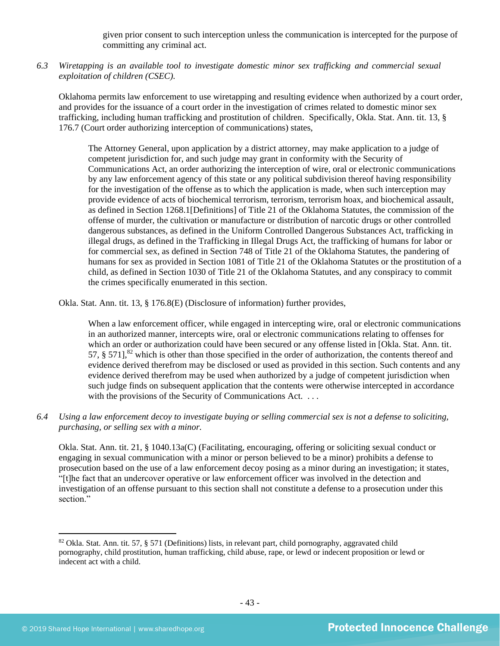given prior consent to such interception unless the communication is intercepted for the purpose of committing any criminal act.

*6.3 Wiretapping is an available tool to investigate domestic minor sex trafficking and commercial sexual exploitation of children (CSEC).* 

Oklahoma permits law enforcement to use wiretapping and resulting evidence when authorized by a court order, and provides for the issuance of a court order in the investigation of crimes related to domestic minor sex trafficking, including human trafficking and prostitution of children. Specifically, Okla. Stat. Ann. tit. 13, § 176.7 (Court order authorizing interception of communications) states,

The Attorney General, upon application by a district attorney, may make application to a judge of competent jurisdiction for, and such judge may grant in conformity with the Security of Communications Act, an order authorizing the interception of wire, oral or electronic communications by any law enforcement agency of this state or any political subdivision thereof having responsibility for the investigation of the offense as to which the application is made, when such interception may provide evidence of acts of biochemical terrorism, terrorism, terrorism hoax, and biochemical assault, as defined in Section 1268.1[Definitions] of Title 21 of the Oklahoma Statutes, the commission of the offense of murder, the cultivation or manufacture or distribution of narcotic drugs or other controlled dangerous substances, as defined in the Uniform Controlled Dangerous Substances Act, trafficking in illegal drugs, as defined in the Trafficking in Illegal Drugs Act, the trafficking of humans for labor or for commercial sex, as defined in Section 748 of Title 21 of the Oklahoma Statutes, the pandering of humans for sex as provided in Section 1081 of Title 21 of the Oklahoma Statutes or the prostitution of a child, as defined in Section 1030 of Title 21 of the Oklahoma Statutes, and any conspiracy to commit the crimes specifically enumerated in this section.

Okla. Stat. Ann. tit. 13, § 176.8(E) (Disclosure of information) further provides,

When a law enforcement officer, while engaged in intercepting wire, oral or electronic communications in an authorized manner, intercepts wire, oral or electronic communications relating to offenses for which an order or authorization could have been secured or any offense listed in [Okla. Stat. Ann. tit. 57,  $\S$  571],<sup>82</sup> which is other than those specified in the order of authorization, the contents thereof and evidence derived therefrom may be disclosed or used as provided in this section. Such contents and any evidence derived therefrom may be used when authorized by a judge of competent jurisdiction when such judge finds on subsequent application that the contents were otherwise intercepted in accordance with the provisions of the Security of Communications Act. ...

*6.4 Using a law enforcement decoy to investigate buying or selling commercial sex is not a defense to soliciting, purchasing, or selling sex with a minor.*

Okla. Stat. Ann. tit. 21, § 1040.13a(C) (Facilitating, encouraging, offering or soliciting sexual conduct or engaging in sexual communication with a minor or person believed to be a minor) prohibits a defense to prosecution based on the use of a law enforcement decoy posing as a minor during an investigation; it states, "[t]he fact that an undercover operative or law enforcement officer was involved in the detection and investigation of an offense pursuant to this section shall not constitute a defense to a prosecution under this section."

<sup>82</sup> Okla. Stat. Ann. tit. 57, § 571 (Definitions) lists, in relevant part, child pornography, aggravated child pornography, child prostitution, human trafficking, child abuse, rape, or lewd or indecent proposition or lewd or indecent act with a child.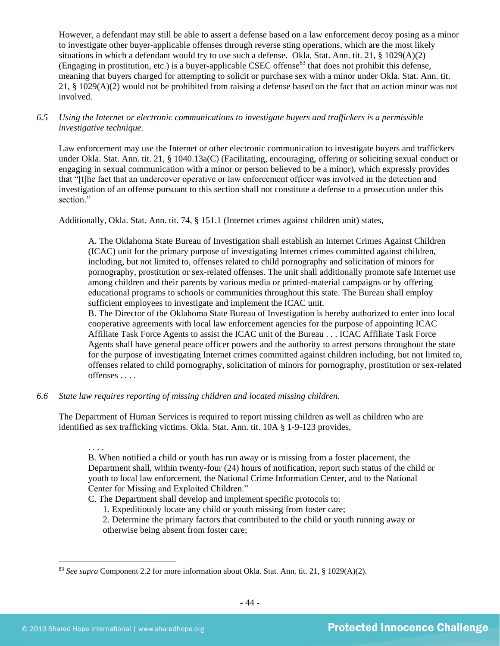However, a defendant may still be able to assert a defense based on a law enforcement decoy posing as a minor to investigate other buyer-applicable offenses through reverse sting operations, which are the most likely situations in which a defendant would try to use such a defense. Okla. Stat. Ann. tit. 21, § 1029(A)(2) (Engaging in prostitution, etc.) is a buyer-applicable CSEC offense $^{83}$  that does not prohibit this defense, meaning that buyers charged for attempting to solicit or purchase sex with a minor under Okla. Stat. Ann. tit. 21, § 1029(A)(2) would not be prohibited from raising a defense based on the fact that an action minor was not involved.

*6.5 Using the Internet or electronic communications to investigate buyers and traffickers is a permissible investigative technique.*

Law enforcement may use the Internet or other electronic communication to investigate buyers and traffickers under Okla. Stat. Ann. tit. 21, § 1040.13a(C) (Facilitating, encouraging, offering or soliciting sexual conduct or engaging in sexual communication with a minor or person believed to be a minor), which expressly provides that "[t]he fact that an undercover operative or law enforcement officer was involved in the detection and investigation of an offense pursuant to this section shall not constitute a defense to a prosecution under this section."

Additionally, Okla. Stat. Ann. tit. 74, § 151.1 (Internet crimes against children unit) states,

A. The Oklahoma State Bureau of Investigation shall establish an Internet Crimes Against Children (ICAC) unit for the primary purpose of investigating Internet crimes committed against children, including, but not limited to, offenses related to child pornography and solicitation of minors for pornography, prostitution or sex-related offenses. The unit shall additionally promote safe Internet use among children and their parents by various media or printed-material campaigns or by offering educational programs to schools or communities throughout this state. The Bureau shall employ sufficient employees to investigate and implement the ICAC unit.

B. The Director of the Oklahoma State Bureau of Investigation is hereby authorized to enter into local cooperative agreements with local law enforcement agencies for the purpose of appointing ICAC Affiliate Task Force Agents to assist the ICAC unit of the Bureau . . . ICAC Affiliate Task Force Agents shall have general peace officer powers and the authority to arrest persons throughout the state for the purpose of investigating Internet crimes committed against children including, but not limited to, offenses related to child pornography, solicitation of minors for pornography, prostitution or sex-related offenses . . . .

*6.6 State law requires reporting of missing children and located missing children.*

The Department of Human Services is required to report missing children as well as children who are identified as sex trafficking victims. Okla. Stat. Ann. tit. 10A § 1-9-123 provides,

. . . .

B. When notified a child or youth has run away or is missing from a foster placement, the Department shall, within twenty-four (24) hours of notification, report such status of the child or youth to local law enforcement, the National Crime Information Center, and to the National Center for Missing and Exploited Children."

C. The Department shall develop and implement specific protocols to:

1. Expeditiously locate any child or youth missing from foster care;

2. Determine the primary factors that contributed to the child or youth running away or otherwise being absent from foster care;

<sup>83</sup> *See supra* Component 2.2 for more information about Okla. Stat. Ann. tit. 21, § 1029(A)(2).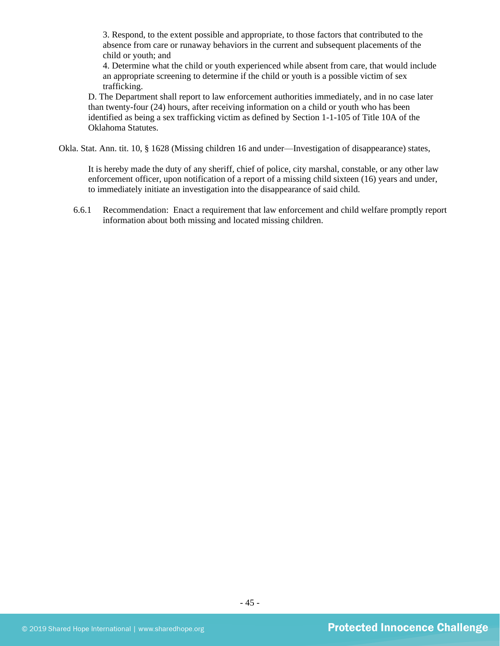3. Respond, to the extent possible and appropriate, to those factors that contributed to the absence from care or runaway behaviors in the current and subsequent placements of the child or youth; and

4. Determine what the child or youth experienced while absent from care, that would include an appropriate screening to determine if the child or youth is a possible victim of sex trafficking.

D. The Department shall report to law enforcement authorities immediately, and in no case later than twenty-four (24) hours, after receiving information on a child or youth who has been identified as being a sex trafficking victim as defined by Section 1-1-105 of Title 10A of the Oklahoma Statutes.

Okla. Stat. Ann. tit. 10, § 1628 (Missing children 16 and under—Investigation of disappearance) states,

It is hereby made the duty of any sheriff, chief of police, city marshal, constable, or any other law enforcement officer, upon notification of a report of a missing child sixteen (16) years and under, to immediately initiate an investigation into the disappearance of said child.

6.6.1 Recommendation: Enact a requirement that law enforcement and child welfare promptly report information about both missing and located missing children.